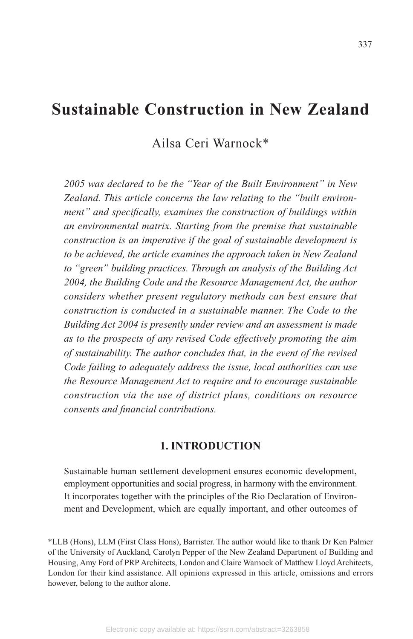# **Sustainable Construction in New Zealand**

Ailsa Ceri Warnock\*

*2005 was declared to be the "Year of the Built Environment" in New Zealand. This article concerns the law relating to the "built environment" and specifically, examines the construction of buildings within an environmental matrix. Starting from the premise that sustainable construction is an imperative if the goal of sustainable development is to be achieved, the article examines the approach taken in New Zealand to "green" building practices. Through an analysis of the Building Act 2004, the Building Code and the Resource Management Act, the author considers whether present regulatory methods can best ensure that construction is conducted in a sustainable manner. The Code to the Building Act 2004 is presently under review and an assessment is made as to the prospects of any revised Code effectively promoting the aim of sustainability. The author concludes that, in the event of the revised Code failing to adequately address the issue, local authorities can use the Resource Management Act to require and to encourage sustainable construction via the use of district plans, conditions on resource consents and financial contributions.*

### **1. INTRODUCTION**

Sustainable human settlement development ensures economic development, employment opportunities and social progress, in harmony with the environment. It incorporates together with the principles of the Rio Declaration of Environment and Development, which are equally important, and other outcomes of

\*LLB (Hons), LLM (First Class Hons), Barrister. The author would like to thank Dr Ken Palmer of the University of Auckland, Carolyn Pepper of the New Zealand Department of Building and Housing, Amy Ford of PRP Architects, London and Claire Warnock of Matthew Lloyd Architects, London for their kind assistance. All opinions expressed in this article, omissions and errors however, belong to the author alone.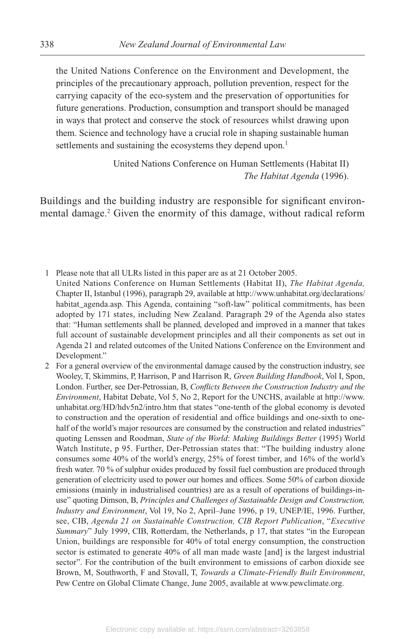the United Nations Conference on the Environment and Development, the principles of the precautionary approach, pollution prevention, respect for the carrying capacity of the eco-system and the preservation of opportunities for future generations. Production, consumption and transport should be managed in ways that protect and conserve the stock of resources whilst drawing upon them. Science and technology have a crucial role in shaping sustainable human settlements and sustaining the ecosystems they depend upon.<sup>1</sup>

> United Nations Conference on Human Settlements (Habitat II) *The Habitat Agenda* (1996).

Buildings and the building industry are responsible for significant environmental damage.<sup>2</sup> Given the enormity of this damage, without radical reform

- 1 Please note that all ULRs listed in this paper are as at 21 October 2005. United Nations Conference on Human Settlements (Habitat II), *The Habitat Agenda,* Chapter II, Istanbul (1996), paragraph 29, available at http://www.unhabitat.org/declarations/ habitat\_agenda.asp. This Agenda, containing "soft-law" political commitments, has been adopted by 171 states, including New Zealand. Paragraph 29 of the Agenda also states that: "Human settlements shall be planned, developed and improved in a manner that takes full account of sustainable development principles and all their components as set out in Agenda 21 and related outcomes of the United Nations Conference on the Environment and Development."
- 2 For a general overview of the environmental damage caused by the construction industry, see Wooley, T, Skimmins, P, Harrison, P and Harrison R, *Green Building Handbook*, Vol I, Spon, London. Further, see Der-Petrossian, B, *Conflicts Between the Construction Industry and the Environment*, Habitat Debate, Vol 5, No 2, Report for the UNCHS, available at http://www. unhabitat.org/HD/hdv5n2/intro.htm that states "one-tenth of the global economy is devoted to construction and the operation of residential and office buildings and one-sixth to onehalf of the world's major resources are consumed by the construction and related industries" quoting Lenssen and Roodman, *State of the World*: *Making Buildings Better* (1995) World Watch Institute, p 95. Further, Der-Petrossian states that: "The building industry alone consumes some 40% of the world's energy, 25% of forest timber, and 16% of the world's fresh water. 70 % of sulphur oxides produced by fossil fuel combustion are produced through generation of electricity used to power our homes and offices. Some 50% of carbon dioxide emissions (mainly in industrialised countries) are as a result of operations of buildings-inuse" quoting Dimson, B, *Principles and Challenges of Sustainable Design and Construction, Industry and Environment*, Vol 19, No 2, April–June 1996, p 19, UNEP/IE, 1996. Further, see, CIB, *Agenda 21 on Sustainable Construction, CIB Report Publication*, "*Executive Summary*" July 1999, CIB, Rotterdam, the Netherlands, p 17, that states "in the European Union, buildings are responsible for 40% of total energy consumption, the construction sector is estimated to generate 40% of all man made waste [and] is the largest industrial sector". For the contribution of the built environment to emissions of carbon dioxide see Brown, M, Southworth, F and Stovall, T, *Towards a Climate-Friendly Built Environment*, Pew Centre on Global Climate Change, June 2005, available at www.pewclimate.org.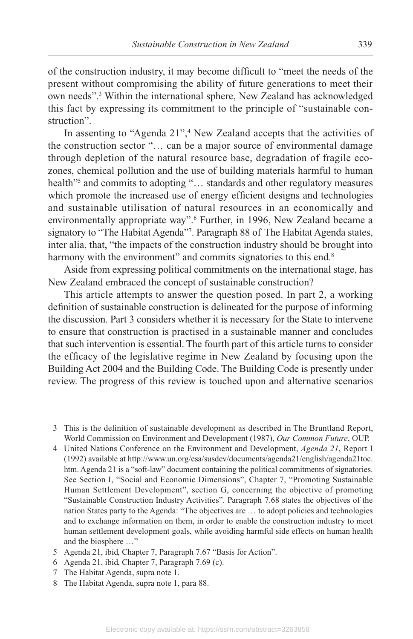of the construction industry, it may become difficult to "meet the needs of the present without compromising the ability of future generations to meet their own needs".3 Within the international sphere, New Zealand has acknowledged this fact by expressing its commitment to the principle of "sustainable construction".

In assenting to "Agenda 21",<sup>4</sup> New Zealand accepts that the activities of the construction sector "… can be a major source of environmental damage through depletion of the natural resource base, degradation of fragile ecozones, chemical pollution and the use of building materials harmful to human health"5 and commits to adopting "… standards and other regulatory measures which promote the increased use of energy efficient designs and technologies and sustainable utilisation of natural resources in an economically and environmentally appropriate way".<sup>6</sup> Further, in 1996, New Zealand became a signatory to "The Habitat Agenda"7 . Paragraph 88 of The Habitat Agenda states, inter alia, that, "the impacts of the construction industry should be brought into harmony with the environment" and commits signatories to this end.<sup>8</sup>

Aside from expressing political commitments on the international stage, has New Zealand embraced the concept of sustainable construction?

This article attempts to answer the question posed. In part 2, a working definition of sustainable construction is delineated for the purpose of informing the discussion. Part 3 considers whether it is necessary for the State to intervene to ensure that construction is practised in a sustainable manner and concludes that such intervention is essential. The fourth part of this article turns to consider the efficacy of the legislative regime in New Zealand by focusing upon the Building Act 2004 and the Building Code. The Building Code is presently under review. The progress of this review is touched upon and alternative scenarios

 3 This is the definition of sustainable development as described in The Bruntland Report, World Commission on Environment and Development (1987 ), *Our Common Future*, OUP.

- 4 United Nations Conference on the Environment and Development, *Agenda 21*, Report I (1992) available at http://www.un.org/esa/susdev/documents/agenda21/english/agenda21toc. htm. Agenda 21 is a "soft-law" document containing the political commitments of signatories. See Section I, "Social and Economic Dimensions", Chapter 7, "Promoting Sustainable Human Settlement Development", section G, concerning the objective of promoting "Sustainable Construction Industry Activities". Paragraph 7 .68 states the objectives of the nation States party to the Agenda: "The objectives are … to adopt policies and technologies and to exchange information on them, in order to enable the construction industry to meet human settlement development goals, while avoiding harmful side effects on human health and the biosphere …"
- 5 Agenda 21, ibid, Chapter 7, Paragraph 7.67 "Basis for Action".
- 6 Agenda 21, ibid, Chapter 7, Paragraph 7.69 (c).
- 7 The Habitat Agenda, supra note 1.
- 8 The Habitat Agenda, supra note 1, para 88.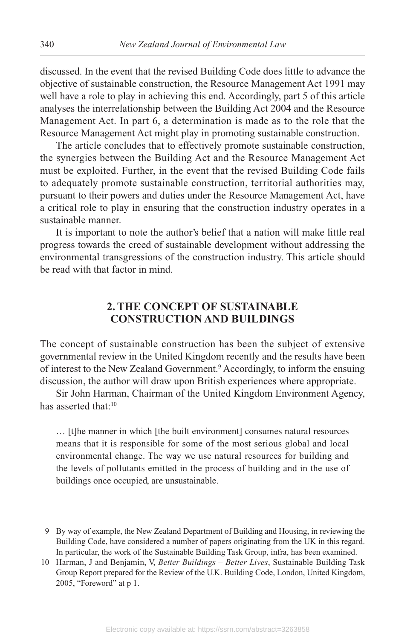discussed. In the event that the revised Building Code does little to advance the objective of sustainable construction, the Resource Management Act 1991 may well have a role to play in achieving this end. Accordingly, part 5 of this article analyses the interrelationship between the Building Act 2004 and the Resource Management Act. In part 6, a determination is made as to the role that the Resource Management Act might play in promoting sustainable construction.

The article concludes that to effectively promote sustainable construction, the synergies between the Building Act and the Resource Management Act must be exploited. Further, in the event that the revised Building Code fails to adequately promote sustainable construction, territorial authorities may, pursuant to their powers and duties under the Resource Management Act, have a critical role to play in ensuring that the construction industry operates in a sustainable manner.

It is important to note the author's belief that a nation will make little real progress towards the creed of sustainable development without addressing the environmental transgressions of the construction industry. This article should be read with that factor in mind.

## **2. THE CONCEPT OF SUSTAINABLE CONSTRUCTION AND BUILDINGS**

The concept of sustainable construction has been the subject of extensive governmental review in the United Kingdom recently and the results have been of interest to the New Zealand Government.<sup>9</sup> Accordingly, to inform the ensuing discussion, the author will draw upon British experiences where appropriate.

Sir John Harman, Chairman of the United Kingdom Environment Agency, has asserted that:<sup>10</sup>

… [t]he manner in which [the built environment] consumes natural resources means that it is responsible for some of the most serious global and local environmental change. The way we use natural resources for building and the levels of pollutants emitted in the process of building and in the use of buildings once occupied, are unsustainable.

 <sup>9</sup> By way of example, the New Zealand Department of Building and Housing, in reviewing the Building Code, have considered a number of papers originating from the UK in this regard. In particular, the work of the Sustainable Building Task Group, infra, has been examined.

 <sup>10</sup> Harman, J and Benjamin, V, *Better Buildings – Better Lives*, Sustainable Building Task Group Report prepared for the Review of the U.K. Building Code, London, United Kingdom, 2005, "Foreword" at p 1.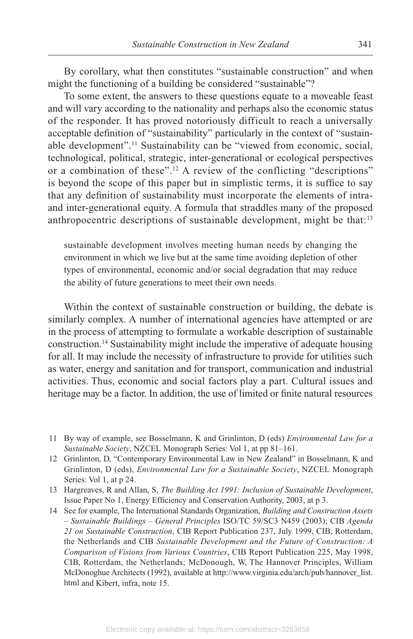By corollary, what then constitutes "sustainable construction" and when might the functioning of a building be considered "sustainable"?

To some extent, the answers to these questions equate to a moveable feast and will vary according to the nationality and perhaps also the economic status of the responder. It has proved notoriously difficult to reach a universally acceptable definition of "sustainability" particularly in the context of "sustainable development".11 Sustainability can be "viewed from economic, social, technological, political, strategic, inter-generational or ecological perspectives or a combination of these".<sup>12</sup> A review of the conflicting "descriptions" is beyond the scope of this paper but in simplistic terms, it is suffice to say that any definition of sustainability must incorporate the elements of intraand inter-generational equity. A formula that straddles many of the proposed anthropocentric descriptions of sustainable development, might be that:<sup>13</sup>

sustainable development involves meeting human needs by changing the environment in which we live but at the same time avoiding depletion of other types of environmental, economic and/or social degradation that may reduce the ability of future generations to meet their own needs.

Within the context of sustainable construction or building, the debate is similarly complex. A number of international agencies have attempted or are in the process of attempting to formulate a workable description of sustainable construction.14 Sustainability might include the imperative of adequate housing for all. It may include the necessity of infrastructure to provide for utilities such as water, energy and sanitation and for transport, communication and industrial activities. Thus, economic and social factors play a part. Cultural issues and heritage may be a factor. In addition, the use of limited or finite natural resources

- 11 By way of example, see Bosselmann, K and Grinlinton, D (eds) *Environmental Law for a Sustainable Society*, NZCEL Monograph Series: Vol 1, at pp 81–161.
- 12 Grinlinton, D, "Contemporary Environmental Law in New Zealand" in Bosselmann, K and Grinlinton, D (eds), *Environmental Law for a Sustainable Society*, NZCEL Monograph Series: Vol 1, at p 24.
- 13 Hargreaves, R and Allan, S, *The Building Act 1991: Inclusion of Sustainable Development*, Issue Paper No 1, Energy Efficiency and Conservation Authority, 2003, at p 3.
- 14 See for example, The International Standards Organization, *Building and Construction Assets – Sustainable Buildings – General Principles* ISO/TC 59/SC3 N459 (2003); CIB *Agenda 21 on Sustainable Construction*, CIB Report Publication 237 , July 1999, CIB, Rotterdam, the Netherlands and CIB *Sustainable Development and the Future of Construction: A Comparison of Visions from Various Countries*, CIB Report Publication 225, May 1998, CIB, Rotterdam, the Netherlands; McDonough, W, The Hannover Principles, William McDonoghue Architects (1992), available at http://www.virginia.edu/arch/pub/hannover\_list. html and Kibert, infra, note 15.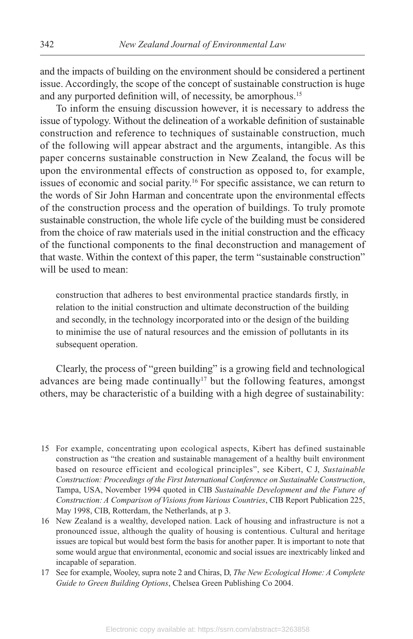and the impacts of building on the environment should be considered a pertinent issue. Accordingly, the scope of the concept of sustainable construction is huge and any purported definition will, of necessity, be amorphous.<sup>15</sup>

To inform the ensuing discussion however, it is necessary to address the issue of typology. Without the delineation of a workable definition of sustainable construction and reference to techniques of sustainable construction, much of the following will appear abstract and the arguments, intangible. As this paper concerns sustainable construction in New Zealand, the focus will be upon the environmental effects of construction as opposed to, for example, issues of economic and social parity.16 For specific assistance, we can return to the words of Sir John Harman and concentrate upon the environmental effects of the construction process and the operation of buildings. To truly promote sustainable construction, the whole life cycle of the building must be considered from the choice of raw materials used in the initial construction and the efficacy of the functional components to the final deconstruction and management of that waste. Within the context of this paper, the term "sustainable construction" will be used to mean:

construction that adheres to best environmental practice standards firstly, in relation to the initial construction and ultimate deconstruction of the building and secondly, in the technology incorporated into or the design of the building to minimise the use of natural resources and the emission of pollutants in its subsequent operation.

Clearly, the process of "green building" is a growing field and technological advances are being made continually<sup>17</sup> but the following features, amongst others, may be characteristic of a building with a high degree of sustainability:

- 15 For example, concentrating upon ecological aspects, Kibert has defined sustainable construction as "the creation and sustainable management of a healthy built environment based on resource efficient and ecological principles", see Kibert, C J, *Sustainable Construction: Proceedings of the First International Conference on Sustainable Construction*, Tampa, USA, November 1994 quoted in CIB *Sustainable Development and the Future of Construction: A Comparison of Visions from Various Countries*, CIB Report Publication 225, May 1998, CIB, Rotterdam, the Netherlands, at p 3.
- 16 New Zealand is a wealthy, developed nation. Lack of housing and infrastructure is not a pronounced issue, although the quality of housing is contentious. Cultural and heritage issues are topical but would best form the basis for another paper. It is important to note that some would argue that environmental, economic and social issues are inextricably linked and incapable of separation.
- 17 See for example, Wooley, supra note 2 and Chiras, D, *The New Ecological Home: A Complete Guide to Green Building Options*, Chelsea Green Publishing Co 2004.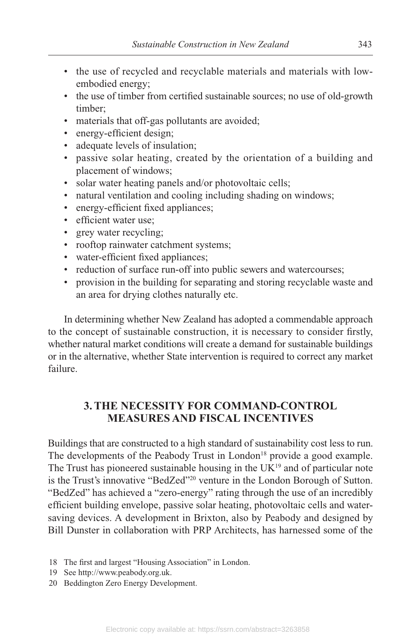- the use of recycled and recyclable materials and materials with lowembodied energy;
- the use of timber from certified sustainable sources; no use of old-growth timber;
- materials that off-gas pollutants are avoided;
- energy-efficient design;
- adequate levels of insulation;
- passive solar heating, created by the orientation of a building and placement of windows;
- solar water heating panels and/or photovoltaic cells;
- natural ventilation and cooling including shading on windows;
- energy-efficient fixed appliances;
- efficient water use;
- grey water recycling;
- rooftop rainwater catchment systems;
- water-efficient fixed appliances;
- reduction of surface run-off into public sewers and watercourses;
- provision in the building for separating and storing recyclable waste and an area for drying clothes naturally etc.

In determining whether New Zealand has adopted a commendable approach to the concept of sustainable construction, it is necessary to consider firstly, whether natural market conditions will create a demand for sustainable buildings or in the alternative, whether State intervention is required to correct any market failure.

# **3. THE NECESSITY FOR COMMAND-CONTROL MEASURES AND FISCAL INCENTIVES**

Buildings that are constructed to a high standard of sustainability cost less to run. The developments of the Peabody Trust in London<sup>18</sup> provide a good example. The Trust has pioneered sustainable housing in the  $UK^{19}$  and of particular note is the Trust's innovative "BedZed"20 venture in the London Borough of Sutton. "BedZed" has achieved a "zero-energy" rating through the use of an incredibly efficient building envelope, passive solar heating, photovoltaic cells and watersaving devices. A development in Brixton, also by Peabody and designed by Bill Dunster in collaboration with PRP Architects, has harnessed some of the

- 18 The first and largest "Housing Association" in London.
- 19 See http://www.peabody.org.uk.
- 20 Beddington Zero Energy Development.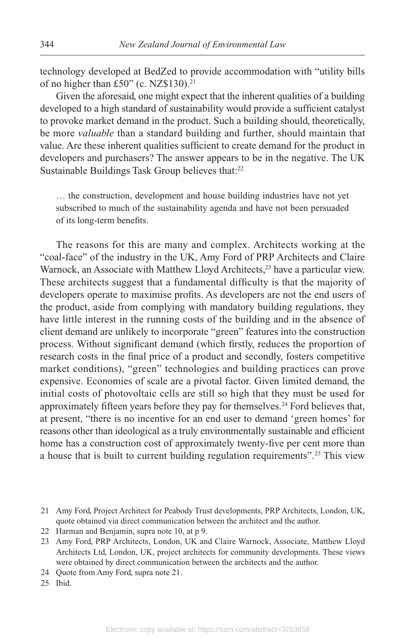technology developed at BedZed to provide accommodation with "utility bills of no higher than £50" (c. NZ\$130).21

Given the aforesaid, one might expect that the inherent qualities of a building developed to a high standard of sustainability would provide a sufficient catalyst to provoke market demand in the product. Such a building should, theoretically, be more *valuable* than a standard building and further, should maintain that value. Are these inherent qualities sufficient to create demand for the product in developers and purchasers? The answer appears to be in the negative. The UK Sustainable Buildings Task Group believes that:<sup>22</sup>

… the construction, development and house building industries have not yet subscribed to much of the sustainability agenda and have not been persuaded of its long-term benefits.

The reasons for this are many and complex. Architects working at the "coal-face" of the industry in the UK, Amy Ford of PRP Architects and Claire Warnock, an Associate with Matthew Lloyd Architects,<sup>23</sup> have a particular view. These architects suggest that a fundamental difficulty is that the majority of developers operate to maximise profits. As developers are not the end users of the product, aside from complying with mandatory building regulations, they have little interest in the running costs of the building and in the absence of client demand are unlikely to incorporate "green" features into the construction process. Without significant demand (which firstly, reduces the proportion of research costs in the final price of a product and secondly, fosters competitive market conditions), "green" technologies and building practices can prove expensive. Economies of scale are a pivotal factor. Given limited demand, the initial costs of photovoltaic cells are still so high that they must be used for approximately fifteen years before they pay for themselves.<sup>24</sup> Ford believes that, at present, "there is no incentive for an end user to demand 'green homes' for reasons other than ideological as a truly environmentally sustainable and efficient home has a construction cost of approximately twenty-five per cent more than a house that is built to current building regulation requirements".<sup>25</sup> This view

25 Ibid.

<sup>21</sup> Amy Ford, Project Architect for Peabody Trust developments, PRP Architects, London, UK, quote obtained via direct communication between the architect and the author.

<sup>22</sup> Harman and Benjamin, supra note 10, at p 9.

<sup>23</sup> Amy Ford, PRP Architects, London, UK and Claire Warnock, Associate, Matthew Lloyd Architects Ltd, London, UK, project architects for community developments. These views were obtained by direct communication between the architects and the author.

<sup>24</sup> Quote from Amy Ford, supra note 21.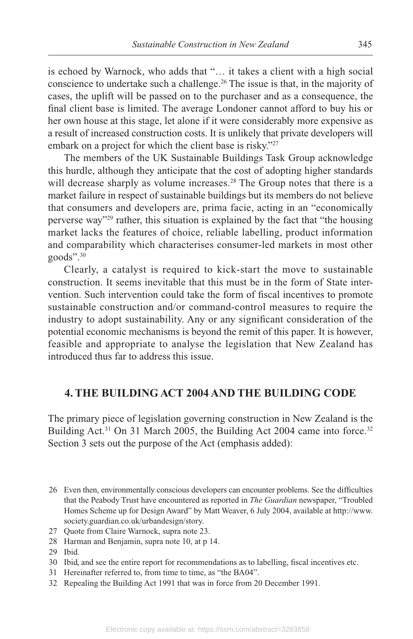is echoed by Warnock, who adds that "… it takes a client with a high social conscience to undertake such a challenge.<sup>26</sup> The issue is that, in the majority of cases, the uplift will be passed on to the purchaser and as a consequence, the final client base is limited. The average Londoner cannot afford to buy his or her own house at this stage, let alone if it were considerably more expensive as a result of increased construction costs. It is unlikely that private developers will embark on a project for which the client base is risky."<sup>27</sup>

The members of the UK Sustainable Buildings Task Group acknowledge this hurdle, although they anticipate that the cost of adopting higher standards will decrease sharply as volume increases.<sup>28</sup> The Group notes that there is a market failure in respect of sustainable buildings but its members do not believe that consumers and developers are, prima facie, acting in an "economically perverse way"29 rather, this situation is explained by the fact that "the housing market lacks the features of choice, reliable labelling, product information and comparability which characterises consumer-led markets in most other goods".30

Clearly, a catalyst is required to kick-start the move to sustainable construction. It seems inevitable that this must be in the form of State intervention. Such intervention could take the form of fiscal incentives to promote sustainable construction and/or command-control measures to require the industry to adopt sustainability. Any or any significant consideration of the potential economic mechanisms is beyond the remit of this paper. It is however, feasible and appropriate to analyse the legislation that New Zealand has introduced thus far to address this issue.

### **4. THE BUILDING ACT 2004 AND THE BUILDING CODE**

The primary piece of legislation governing construction in New Zealand is the Building Act.<sup>31</sup> On 31 March 2005, the Building Act 2004 came into force.<sup>32</sup> Section 3 sets out the purpose of the Act (emphasis added):

- 26 Even then, environmentally conscious developers can encounter problems. See the difficulties that the Peabody Trust have encountered as reported in *The Guardian* newspaper, "Troubled Homes Scheme up for Design Award" by Matt Weaver, 6 July 2004, available at http://www. society.guardian.co.uk/urbandesign/story.
- 27 Quote from Claire Warnock, supra note 23.
- 28 Harman and Benjamin, supra note 10, at p 14.
- 29 Ibid.
- 30 Ibid, and see the entire report for recommendations as to labelling, fiscal incentives etc.
- 31 Hereinafter referred to, from time to time, as "the BA04".
- 32 Repealing the Building Act 1991 that was in force from 20 December 1991.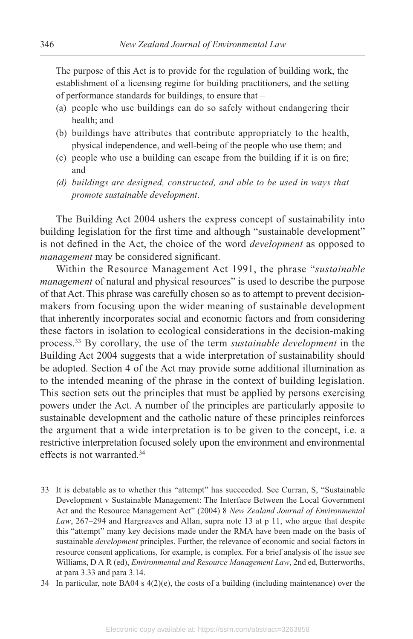The purpose of this Act is to provide for the regulation of building work, the establishment of a licensing regime for building practitioners, and the setting of performance standards for buildings, to ensure that –

- (a) people who use buildings can do so safely without endangering their health; and
- (b) buildings have attributes that contribute appropriately to the health, physical independence, and well-being of the people who use them; and
- (c) people who use a building can escape from the building if it is on fire; and
- *(d) buildings are designed, constructed, and able to be used in ways that promote sustainable development*.

The Building Act 2004 ushers the express concept of sustainability into building legislation for the first time and although "sustainable development" is not defined in the Act, the choice of the word *development* as opposed to *management* may be considered significant.

Within the Resource Management Act 1991, the phrase "*sustainable management* of natural and physical resources" is used to describe the purpose of that Act. This phrase was carefully chosen so as to attempt to prevent decisionmakers from focusing upon the wider meaning of sustainable development that inherently incorporates social and economic factors and from considering these factors in isolation to ecological considerations in the decision-making process.33 By corollary, the use of the term *sustainable development* in the Building Act 2004 suggests that a wide interpretation of sustainability should be adopted. Section 4 of the Act may provide some additional illumination as to the intended meaning of the phrase in the context of building legislation. This section sets out the principles that must be applied by persons exercising powers under the Act. A number of the principles are particularly apposite to sustainable development and the catholic nature of these principles reinforces the argument that a wide interpretation is to be given to the concept, i.e. a restrictive interpretation focused solely upon the environment and environmental effects is not warranted.34

- 33 It is debatable as to whether this "attempt" has succeeded. See Curran, S, "Sustainable Development v Sustainable Management: The Interface Between the Local Government Act and the Resource Management Act" (2004) 8 *New Zealand Journal of Environmental* Law, 267–294 and Hargreaves and Allan, supra note 13 at p 11, who argue that despite this "attempt" many key decisions made under the RMA have been made on the basis of sustainable *development* principles. Further, the relevance of economic and social factors in resource consent applications, for example, is complex. For a brief analysis of the issue see Williams, D A R (ed), *Environmental and Resource Management Law*, 2nd ed, Butterworths, at para 3.33 and para 3.14.
- 34 In particular, note BA04 s  $4(2)(e)$ , the costs of a building (including maintenance) over the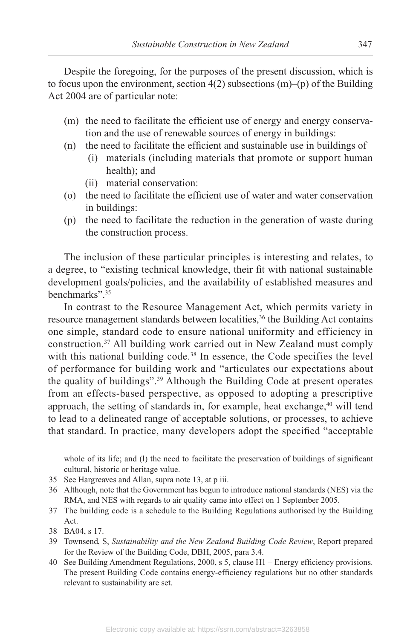Despite the foregoing, for the purposes of the present discussion, which is to focus upon the environment, section  $4(2)$  subsections  $(m)$ –(p) of the Building Act 2004 are of particular note:

- (m) the need to facilitate the efficient use of energy and energy conservation and the use of renewable sources of energy in buildings:
- (n) the need to facilitate the efficient and sustainable use in buildings of
	- (i) materials (including materials that promote or support human health); and
	- (ii) material conservation:
- (o) the need to facilitate the efficient use of water and water conservation in buildings:
- (p) the need to facilitate the reduction in the generation of waste during the construction process.

The inclusion of these particular principles is interesting and relates, to a degree, to "existing technical knowledge, their fit with national sustainable development goals/policies, and the availability of established measures and benchmarks".<sup>35</sup>

In contrast to the Resource Management Act, which permits variety in resource management standards between localities,<sup>36</sup> the Building Act contains one simple, standard code to ensure national uniformity and efficiency in construction.37 All building work carried out in New Zealand must comply with this national building code.<sup>38</sup> In essence, the Code specifies the level of performance for building work and "articulates our expectations about the quality of buildings".39 Although the Building Code at present operates from an effects-based perspective, as opposed to adopting a prescriptive approach, the setting of standards in, for example, heat exchange,<sup>40</sup> will tend to lead to a delineated range of acceptable solutions, or processes, to achieve that standard. In practice, many developers adopt the specified "acceptable

whole of its life; and (l) the need to facilitate the preservation of buildings of significant cultural, historic or heritage value.

- 35 See Hargreaves and Allan, supra note 13, at p iii.
- 36 Although, note that the Government has begun to introduce national standards (NES) via the RMA, and NES with regards to air quality came into effect on 1 September 2005.
- 37 The building code is a schedule to the Building Regulations authorised by the Building Act.
- 38 BA04, s 17.
- 39 Townsend, S, *Sustainability and the New Zealand Building Code Review*, Report prepared for the Review of the Building Code, DBH, 2005, para 3.4.
- 40 See Building Amendment Regulations, 2000, s 5, clause H1 Energy efficiency provisions. The present Building Code contains energy-efficiency regulations but no other standards relevant to sustainability are set.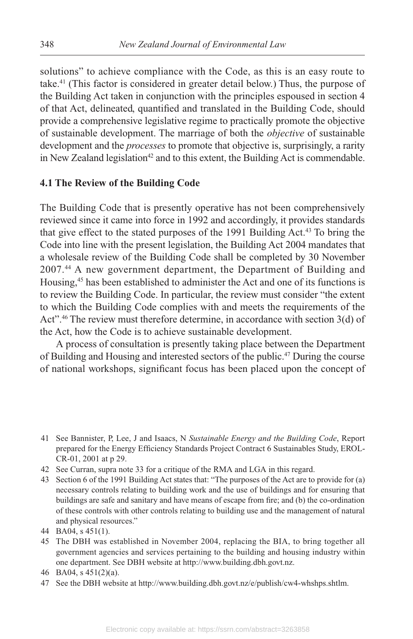solutions" to achieve compliance with the Code, as this is an easy route to take.41 (This factor is considered in greater detail below.) Thus, the purpose of the Building Act taken in conjunction with the principles espoused in section 4 of that Act, delineated, quantified and translated in the Building Code, should provide a comprehensive legislative regime to practically promote the objective of sustainable development. The marriage of both the *objective* of sustainable development and the *processes* to promote that objective is, surprisingly, a rarity in New Zealand legislation<sup>42</sup> and to this extent, the Building Act is commendable.

### **4.1 The Review of the Building Code**

The Building Code that is presently operative has not been comprehensively reviewed since it came into force in 1992 and accordingly, it provides standards that give effect to the stated purposes of the 1991 Building Act.<sup>43</sup> To bring the Code into line with the present legislation, the Building Act 2004 mandates that a wholesale review of the Building Code shall be completed by 30 November 2007 . 44 A new government department, the Department of Building and Housing,45 has been established to administer the Act and one of its functions is to review the Building Code. In particular, the review must consider "the extent to which the Building Code complies with and meets the requirements of the Act".46 The review must therefore determine, in accordance with section 3(d) of the Act, how the Code is to achieve sustainable development.

A process of consultation is presently taking place between the Department of Building and Housing and interested sectors of the public.47 During the course of national workshops, significant focus has been placed upon the concept of

- 41 See Bannister, P, Lee, J and Isaacs, N *Sustainable Energy and the Building Code*, Report prepared for the Energy Efficiency Standards Project Contract 6 Sustainables Study, EROL-CR-01, 2001 at p 29.
- 42 See Curran, supra note 33 for a critique of the RMA and LGA in this regard.
- 43 Section 6 of the 1991 Building Act states that: "The purposes of the Act are to provide for (a) necessary controls relating to building work and the use of buildings and for ensuring that buildings are safe and sanitary and have means of escape from fire; and (b) the co-ordination of these controls with other controls relating to building use and the management of natural and physical resources."
- 44 BA04, s 451(1).
- 45 The DBH was established in November 2004, replacing the BIA, to bring together all government agencies and services pertaining to the building and housing industry within one department. See DBH website at http://www.building.dbh.govt.nz.
- 46 BA04, s 451(2)(a).
- 47 See the DBH website at http://www.building.dbh.govt.nz/e/publish/cw4-whshps.shtlm.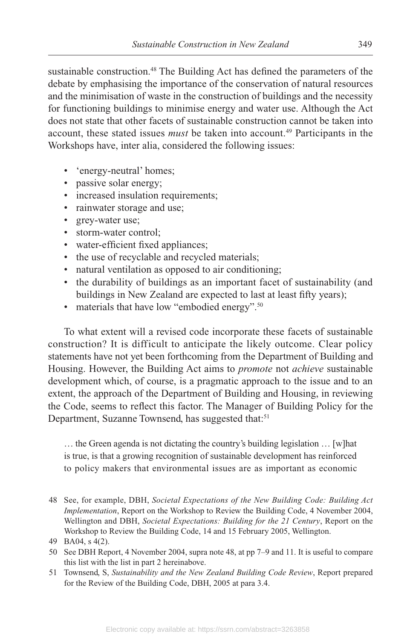sustainable construction.<sup>48</sup> The Building Act has defined the parameters of the debate by emphasising the importance of the conservation of natural resources and the minimisation of waste in the construction of buildings and the necessity for functioning buildings to minimise energy and water use. Although the Act does not state that other facets of sustainable construction cannot be taken into account, these stated issues *must* be taken into account.<sup>49</sup> Participants in the Workshops have, inter alia, considered the following issues:

- 'energy-neutral' homes;
- passive solar energy;
- increased insulation requirements;
- rainwater storage and use;
- grey-water use;
- storm-water control;
- water-efficient fixed appliances;
- the use of recyclable and recycled materials;
- natural ventilation as opposed to air conditioning;
- the durability of buildings as an important facet of sustainability (and buildings in New Zealand are expected to last at least fifty years);
- materials that have low "embodied energy".<sup>50</sup>

To what extent will a revised code incorporate these facets of sustainable construction? It is difficult to anticipate the likely outcome. Clear policy statements have not yet been forthcoming from the Department of Building and Housing. However, the Building Act aims to *promote* not *achieve* sustainable development which, of course, is a pragmatic approach to the issue and to an extent, the approach of the Department of Building and Housing, in reviewing the Code, seems to reflect this factor. The Manager of Building Policy for the Department, Suzanne Townsend, has suggested that:<sup>51</sup>

… the Green agenda is not dictating the country's building legislation … [w]hat is true, is that a growing recognition of sustainable development has reinforced to policy makers that environmental issues are as important as economic

 <sup>48</sup> See, for example, DBH, *Societal Expectations of the New Building Code: Building Act Implementation*, Report on the Workshop to Review the Building Code, 4 November 2004, Wellington and DBH, *Societal Expectations: Building for the 21 Century*, Report on the Workshop to Review the Building Code, 14 and 15 February 2005, Wellington.

 <sup>49</sup> BA04, s 4(2).

 <sup>50</sup> See DBH Report, 4 November 2004, supra note 48, at pp 7 –9 and 11. It is useful to compare this list with the list in part 2 hereinabove.

 <sup>51</sup> Townsend, S, *Sustainability and the New Zealand Building Code Review*, Report prepared for the Review of the Building Code, DBH, 2005 at para 3.4.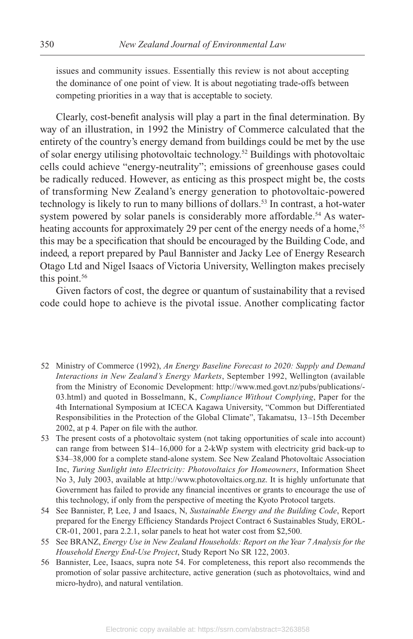issues and community issues. Essentially this review is not about accepting the dominance of one point of view. It is about negotiating trade-offs between competing priorities in a way that is acceptable to society.

Clearly, cost-benefit analysis will play a part in the final determination. By way of an illustration, in 1992 the Ministry of Commerce calculated that the entirety of the country's energy demand from buildings could be met by the use of solar energy utilising photovoltaic technology.<sup>52</sup> Buildings with photovoltaic cells could achieve "energy-neutrality"; emissions of greenhouse gases could be radically reduced. However, as enticing as this prospect might be, the costs of transforming New Zealand's energy generation to photovoltaic-powered technology is likely to run to many billions of dollars.<sup>53</sup> In contrast, a hot-water system powered by solar panels is considerably more affordable.<sup>54</sup> As waterheating accounts for approximately 29 per cent of the energy needs of a home,<sup>55</sup> this may be a specification that should be encouraged by the Building Code, and indeed, a report prepared by Paul Bannister and Jacky Lee of Energy Research Otago Ltd and Nigel Isaacs of Victoria University, Wellington makes precisely this point. $56$ 

Given factors of cost, the degree or quantum of sustainability that a revised code could hope to achieve is the pivotal issue. Another complicating factor

- 52 Ministry of Commerce (1992), *An Energy Baseline Forecast to 2020: Supply and Demand Interactions in New Zealand's Energy Markets*, September 1992, Wellington (available from the Ministry of Economic Development: http://www.med.govt.nz/pubs/publications/- 03.html) and quoted in Bosselmann, K, *Compliance Without Complying*, Paper for the 4th International Symposium at ICECA Kagawa University, "Common but Differentiated Responsibilities in the Protection of the Global Climate", Takamatsu, 13–15th December 2002, at p 4. Paper on file with the author.
- 53 The present costs of a photovoltaic system (not taking opportunities of scale into account) can range from between \$14–16,000 for a 2-kWp system with electricity grid back-up to \$34–38,000 for a complete stand-alone system. See New Zealand Photovoltaic Association Inc, *Turing Sunlight into Electricity: Photovoltaics for Homeowners*, Information Sheet No 3, July 2003, available at http://www.photovoltaics.org.nz. It is highly unfortunate that Government has failed to provide any financial incentives or grants to encourage the use of this technology, if only from the perspective of meeting the Kyoto Protocol targets.
- 54 See Bannister, P, Lee, J and Isaacs, N, *Sustainable Energy and the Building Code*, Report prepared for the Energy Efficiency Standards Project Contract 6 Sustainables Study, EROL-CR-01, 2001, para 2.2.1, solar panels to heat hot water cost from \$2,500.
- 55 See BRANZ, *Energy Use in New Zealand Households: Report on the Year 7 Analysis for the Household Energy End-Use Project*, Study Report No SR 122, 2003.
- 56 Bannister, Lee, Isaacs, supra note 54. For completeness, this report also recommends the promotion of solar passive architecture, active generation (such as photovoltaics, wind and micro-hydro), and natural ventilation.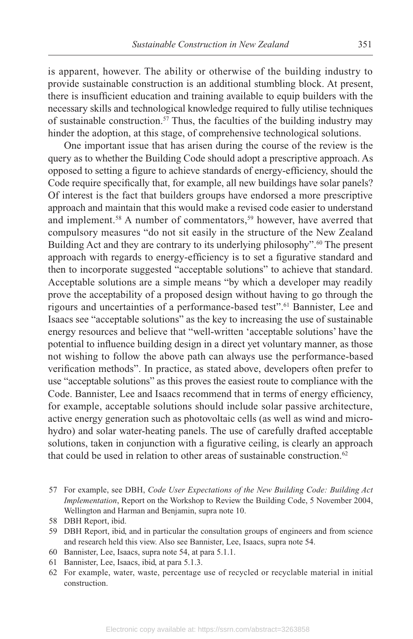is apparent, however. The ability or otherwise of the building industry to provide sustainable construction is an additional stumbling block. At present, there is insufficient education and training available to equip builders with the necessary skills and technological knowledge required to fully utilise techniques of sustainable construction.<sup>57</sup> Thus, the faculties of the building industry may hinder the adoption, at this stage, of comprehensive technological solutions.

One important issue that has arisen during the course of the review is the query as to whether the Building Code should adopt a prescriptive approach. As opposed to setting a figure to achieve standards of energy-efficiency, should the Code require specifically that, for example, all new buildings have solar panels? Of interest is the fact that builders groups have endorsed a more prescriptive approach and maintain that this would make a revised code easier to understand and implement.<sup>58</sup> A number of commentators,<sup>59</sup> however, have averred that compulsory measures "do not sit easily in the structure of the New Zealand Building Act and they are contrary to its underlying philosophy".<sup>60</sup> The present approach with regards to energy-efficiency is to set a figurative standard and then to incorporate suggested "acceptable solutions" to achieve that standard. Acceptable solutions are a simple means "by which a developer may readily prove the acceptability of a proposed design without having to go through the rigours and uncertainties of a performance-based test".61 Bannister, Lee and Isaacs see "acceptable solutions" as the key to increasing the use of sustainable energy resources and believe that "well-written 'acceptable solutions' have the potential to influence building design in a direct yet voluntary manner, as those not wishing to follow the above path can always use the performance-based verification methods". In practice, as stated above, developers often prefer to use "acceptable solutions" as this proves the easiest route to compliance with the Code. Bannister, Lee and Isaacs recommend that in terms of energy efficiency, for example, acceptable solutions should include solar passive architecture, active energy generation such as photovoltaic cells (as well as wind and microhydro) and solar water-heating panels. The use of carefully drafted acceptable solutions, taken in conjunction with a figurative ceiling, is clearly an approach that could be used in relation to other areas of sustainable construction.<sup>62</sup>

- 57 For example, see DBH, *Code User Expectations of the New Building Code: Building Act Implementation*, Report on the Workshop to Review the Building Code, 5 November 2004, Wellington and Harman and Benjamin, supra note 10.
- 58 DBH Report, ibid.
- 59 DBH Report, ibid, and in particular the consultation groups of engineers and from science and research held this view. Also see Bannister, Lee, Isaacs, supra note 54.
- 60 Bannister, Lee, Isaacs, supra note 54, at para 5.1.1.
- 61 Bannister, Lee, Isaacs, ibid, at para 5.1.3.
- 62 For example, water, waste, percentage use of recycled or recyclable material in initial construction.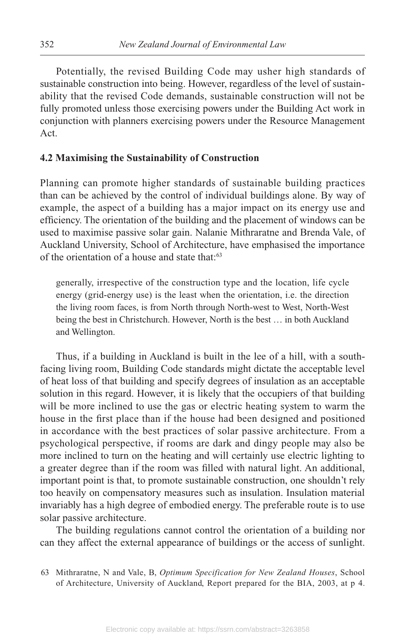Potentially, the revised Building Code may usher high standards of sustainable construction into being. However, regardless of the level of sustainability that the revised Code demands, sustainable construction will not be fully promoted unless those exercising powers under the Building Act work in conjunction with planners exercising powers under the Resource Management Act.

#### **4.2 Maximising the Sustainability of Construction**

Planning can promote higher standards of sustainable building practices than can be achieved by the control of individual buildings alone. By way of example, the aspect of a building has a major impact on its energy use and efficiency. The orientation of the building and the placement of windows can be used to maximise passive solar gain. Nalanie Mithraratne and Brenda Vale, of Auckland University, School of Architecture, have emphasised the importance of the orientation of a house and state that:63

generally, irrespective of the construction type and the location, life cycle energy (grid-energy use) is the least when the orientation, i.e. the direction the living room faces, is from North through North-west to West, North-West being the best in Christchurch. However, North is the best … in both Auckland and Wellington.

Thus, if a building in Auckland is built in the lee of a hill, with a southfacing living room, Building Code standards might dictate the acceptable level of heat loss of that building and specify degrees of insulation as an acceptable solution in this regard. However, it is likely that the occupiers of that building will be more inclined to use the gas or electric heating system to warm the house in the first place than if the house had been designed and positioned in accordance with the best practices of solar passive architecture. From a psychological perspective, if rooms are dark and dingy people may also be more inclined to turn on the heating and will certainly use electric lighting to a greater degree than if the room was filled with natural light. An additional, important point is that, to promote sustainable construction, one shouldn't rely too heavily on compensatory measures such as insulation. Insulation material invariably has a high degree of embodied energy. The preferable route is to use solar passive architecture.

The building regulations cannot control the orientation of a building nor can they affect the external appearance of buildings or the access of sunlight.

63 Mithraratne, N and Vale, B, *Optimum Specification for New Zealand Houses*, School of Architecture, University of Auckland, Report prepared for the BIA, 2003, at p 4.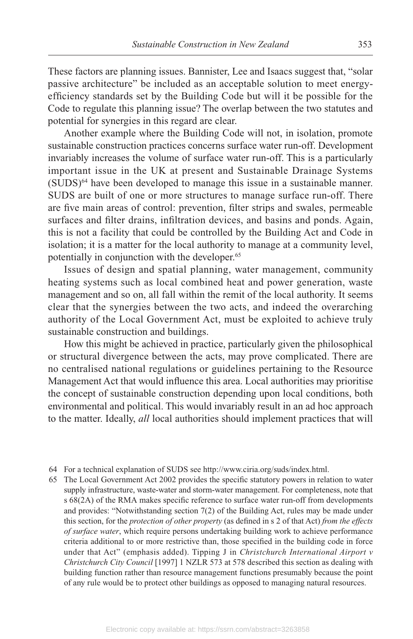These factors are planning issues. Bannister, Lee and Isaacs suggest that, "solar passive architecture" be included as an acceptable solution to meet energyefficiency standards set by the Building Code but will it be possible for the Code to regulate this planning issue? The overlap between the two statutes and potential for synergies in this regard are clear.

Another example where the Building Code will not, in isolation, promote sustainable construction practices concerns surface water run-off. Development invariably increases the volume of surface water run-off. This is a particularly important issue in the UK at present and Sustainable Drainage Systems  $(SUDS)^{64}$  have been developed to manage this issue in a sustainable manner. SUDS are built of one or more structures to manage surface run-off. There are five main areas of control: prevention, filter strips and swales, permeable surfaces and filter drains, infiltration devices, and basins and ponds. Again, this is not a facility that could be controlled by the Building Act and Code in isolation; it is a matter for the local authority to manage at a community level, potentially in conjunction with the developer.<sup>65</sup>

Issues of design and spatial planning, water management, community heating systems such as local combined heat and power generation, waste management and so on, all fall within the remit of the local authority. It seems clear that the synergies between the two acts, and indeed the overarching authority of the Local Government Act, must be exploited to achieve truly sustainable construction and buildings.

How this might be achieved in practice, particularly given the philosophical or structural divergence between the acts, may prove complicated. There are no centralised national regulations or guidelines pertaining to the Resource Management Act that would influence this area. Local authorities may prioritise the concept of sustainable construction depending upon local conditions, both environmental and political. This would invariably result in an ad hoc approach to the matter. Ideally, *all* local authorities should implement practices that will

64 For a technical explanation of SUDS see http://www.ciria.org/suds/index.html.

65 The Local Government Act 2002 provides the specific statutory powers in relation to water supply infrastructure, waste-water and storm-water management. For completeness, note that s 68(2A) of the RMA makes specific reference to surface water run-off from developments and provides: "Notwithstanding section 7(2) of the Building Act, rules may be made under this section, for the *protection of other property* (as defined in s 2 of that Act) *from the effects of surface water*, which require persons undertaking building work to achieve performance criteria additional to or more restrictive than, those specified in the building code in force under that Act" (emphasis added). Tipping J in *Christchurch International Airport v Christchurch City Council* [1997] 1 NZLR 573 at 578 described this section as dealing with building function rather than resource management functions presumably because the point of any rule would be to protect other buildings as opposed to managing natural resources.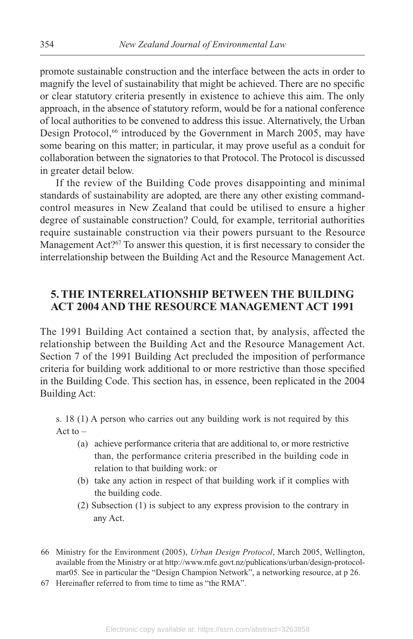promote sustainable construction and the interface between the acts in order to magnify the level of sustainability that might be achieved. There are no specific or clear statutory criteria presently in existence to achieve this aim. The only approach, in the absence of statutory reform, would be for a national conference of local authorities to be convened to address this issue. Alternatively, the Urban Design Protocol,<sup>66</sup> introduced by the Government in March 2005, may have some bearing on this matter; in particular, it may prove useful as a conduit for collaboration between the signatories to that Protocol. The Protocol is discussed in greater detail below.

If the review of the Building Code proves disappointing and minimal standards of sustainability are adopted, are there any other existing commandcontrol measures in New Zealand that could be utilised to ensure a higher degree of sustainable construction? Could, for example, territorial authorities require sustainable construction via their powers pursuant to the Resource Management Act?<sup>67</sup> To answer this question, it is first necessary to consider the interrelationship between the Building Act and the Resource Management Act.

# **5. THE INTERRELATIONSHIP BETWEEN THE BUILDING ACT 2004 AND THE RESOURCE MANAGEMENT ACT 1991**

The 1991 Building Act contained a section that, by analysis, affected the relationship between the Building Act and the Resource Management Act. Section 7 of the 1991 Building Act precluded the imposition of performance criteria for building work additional to or more restrictive than those specified in the Building Code. This section has, in essence, been replicated in the 2004 Building Act:

s. 18 (1) A person who carries out any building work is not required by this Act to  $-$ 

- (a) achieve performance criteria that are additional to, or more restrictive than, the performance criteria prescribed in the building code in relation to that building work: or
- (b) take any action in respect of that building work if it complies with the building code.
- (2) Subsection (1) is subject to any express provision to the contrary in any Act.

<sup>66</sup> Ministry for the Environment (2005), *Urban Design Protocol*, March 2005, Wellington, available from the Ministry or at http://www.mfe.govt.nz/publications/urban/design-protocolmar05. See in particular the "Design Champion Network", a networking resource, at p 26.

<sup>67</sup> Hereinafter referred to from time to time as "the RMA".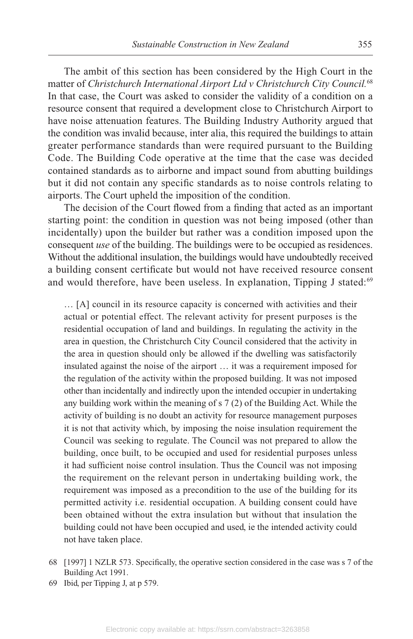The ambit of this section has been considered by the High Court in the matter of *Christchurch International Airport Ltd v Christchurch City Council.*<sup>68</sup> In that case, the Court was asked to consider the validity of a condition on a resource consent that required a development close to Christchurch Airport to have noise attenuation features. The Building Industry Authority argued that the condition was invalid because, inter alia, this required the buildings to attain greater performance standards than were required pursuant to the Building Code. The Building Code operative at the time that the case was decided contained standards as to airborne and impact sound from abutting buildings but it did not contain any specific standards as to noise controls relating to airports. The Court upheld the imposition of the condition.

The decision of the Court flowed from a finding that acted as an important starting point: the condition in question was not being imposed (other than incidentally) upon the builder but rather was a condition imposed upon the consequent *use* of the building. The buildings were to be occupied as residences. Without the additional insulation, the buildings would have undoubtedly received a building consent certificate but would not have received resource consent and would therefore, have been useless. In explanation, Tipping J stated:<sup>69</sup>

… [A] council in its resource capacity is concerned with activities and their actual or potential effect. The relevant activity for present purposes is the residential occupation of land and buildings. In regulating the activity in the area in question, the Christchurch City Council considered that the activity in the area in question should only be allowed if the dwelling was satisfactorily insulated against the noise of the airport … it was a requirement imposed for the regulation of the activity within the proposed building. It was not imposed other than incidentally and indirectly upon the intended occupier in undertaking any building work within the meaning of s 7 (2) of the Building Act. While the activity of building is no doubt an activity for resource management purposes it is not that activity which, by imposing the noise insulation requirement the Council was seeking to regulate. The Council was not prepared to allow the building, once built, to be occupied and used for residential purposes unless it had sufficient noise control insulation. Thus the Council was not imposing the requirement on the relevant person in undertaking building work, the requirement was imposed as a precondition to the use of the building for its permitted activity i.e. residential occupation. A building consent could have been obtained without the extra insulation but without that insulation the building could not have been occupied and used, ie the intended activity could not have taken place.

69 Ibid, per Tipping J, at p 579.

<sup>68 [1997] 1</sup> NZLR 573. Specifically, the operative section considered in the case was s 7 of the Building Act 1991.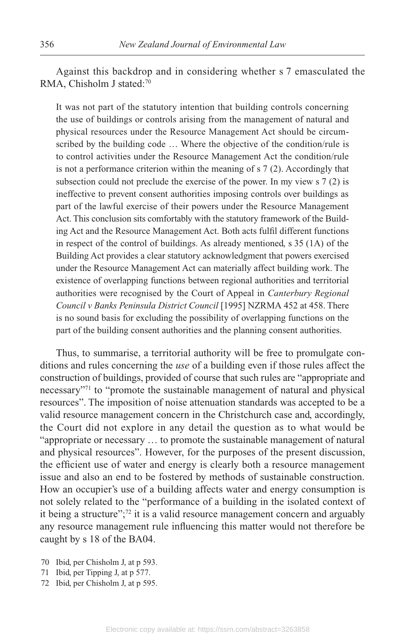Against this backdrop and in considering whether s 7 emasculated the RMA, Chisholm J stated:70

It was not part of the statutory intention that building controls concerning the use of buildings or controls arising from the management of natural and physical resources under the Resource Management Act should be circumscribed by the building code … Where the objective of the condition/rule is to control activities under the Resource Management Act the condition/rule is not a performance criterion within the meaning of s 7 (2). Accordingly that subsection could not preclude the exercise of the power. In my view s 7 (2) is ineffective to prevent consent authorities imposing controls over buildings as part of the lawful exercise of their powers under the Resource Management Act. This conclusion sits comfortably with the statutory framework of the Building Act and the Resource Management Act. Both acts fulfil different functions in respect of the control of buildings. As already mentioned, s 35 (1A) of the Building Act provides a clear statutory acknowledgment that powers exercised under the Resource Management Act can materially affect building work. The existence of overlapping functions between regional authorities and territorial authorities were recognised by the Court of Appeal in *Canterbury Regional Council v Banks Peninsula District Council* [1995] NZRMA 452 at 458. There is no sound basis for excluding the possibility of overlapping functions on the part of the building consent authorities and the planning consent authorities.

Thus, to summarise, a territorial authority will be free to promulgate conditions and rules concerning the *use* of a building even if those rules affect the construction of buildings, provided of course that such rules are "appropriate and necessary"<sup>71</sup> to "promote the sustainable management of natural and physical resources". The imposition of noise attenuation standards was accepted to be a valid resource management concern in the Christchurch case and, accordingly, the Court did not explore in any detail the question as to what would be "appropriate or necessary … to promote the sustainable management of natural and physical resources". However, for the purposes of the present discussion, the efficient use of water and energy is clearly both a resource management issue and also an end to be fostered by methods of sustainable construction. How an occupier's use of a building affects water and energy consumption is not solely related to the "performance of a building in the isolated context of it being a structure"; $72$  it is a valid resource management concern and arguably any resource management rule influencing this matter would not therefore be caught by s 18 of the BA04.

- 70 Ibid, per Chisholm J, at p 593.
- 71 Ibid, per Tipping J, at p 577.
- 72 Ibid, per Chisholm J, at p 595.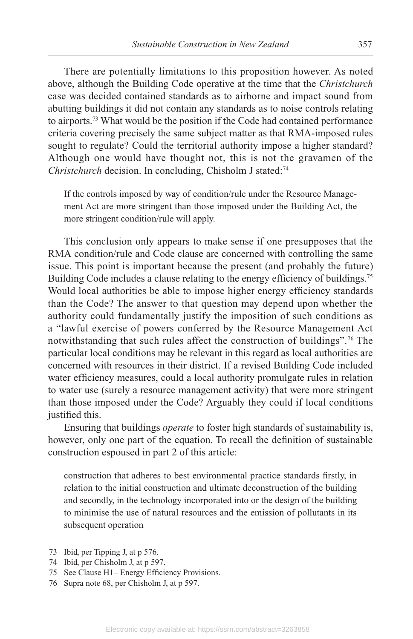There are potentially limitations to this proposition however. As noted above, although the Building Code operative at the time that the *Christchurch* case was decided contained standards as to airborne and impact sound from abutting buildings it did not contain any standards as to noise controls relating to airports.<sup>73</sup> What would be the position if the Code had contained performance criteria covering precisely the same subject matter as that RMA-imposed rules sought to regulate? Could the territorial authority impose a higher standard? Although one would have thought not, this is not the gravamen of the *Christchurch* decision. In concluding, Chisholm J stated:<sup>74</sup>

If the controls imposed by way of condition/rule under the Resource Management Act are more stringent than those imposed under the Building Act, the more stringent condition/rule will apply.

This conclusion only appears to make sense if one presupposes that the RMA condition/rule and Code clause are concerned with controlling the same issue. This point is important because the present (and probably the future) Building Code includes a clause relating to the energy efficiency of buildings.<sup>75</sup> Would local authorities be able to impose higher energy efficiency standards than the Code? The answer to that question may depend upon whether the authority could fundamentally justify the imposition of such conditions as a "lawful exercise of powers conferred by the Resource Management Act notwithstanding that such rules affect the construction of buildings".<sup>76</sup> The particular local conditions may be relevant in this regard as local authorities are concerned with resources in their district. If a revised Building Code included water efficiency measures, could a local authority promulgate rules in relation to water use (surely a resource management activity) that were more stringent than those imposed under the Code? Arguably they could if local conditions justified this.

Ensuring that buildings *operate* to foster high standards of sustainability is, however, only one part of the equation. To recall the definition of sustainable construction espoused in part 2 of this article:

construction that adheres to best environmental practice standards firstly, in relation to the initial construction and ultimate deconstruction of the building and secondly, in the technology incorporated into or the design of the building to minimise the use of natural resources and the emission of pollutants in its subsequent operation

- 73 Ibid, per Tipping J, at p 576.
- 74 Ibid, per Chisholm J, at p 597.
- 75 See Clause H1- Energy Efficiency Provisions.
- 76 Supra note 68, per Chisholm J, at p 597.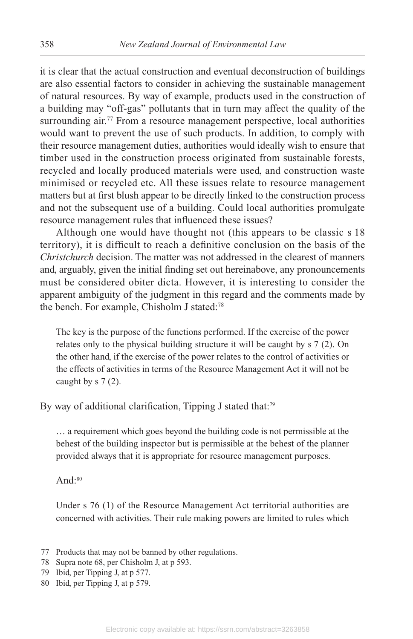it is clear that the actual construction and eventual deconstruction of buildings are also essential factors to consider in achieving the sustainable management of natural resources. By way of example, products used in the construction of a building may "off-gas" pollutants that in turn may affect the quality of the surrounding air.<sup>77</sup> From a resource management perspective, local authorities would want to prevent the use of such products. In addition, to comply with their resource management duties, authorities would ideally wish to ensure that timber used in the construction process originated from sustainable forests, recycled and locally produced materials were used, and construction waste minimised or recycled etc. All these issues relate to resource management matters but at first blush appear to be directly linked to the construction process and not the subsequent use of a building. Could local authorities promulgate resource management rules that influenced these issues?

Although one would have thought not (this appears to be classic s 18 territory), it is difficult to reach a definitive conclusion on the basis of the *Christchurch* decision. The matter was not addressed in the clearest of manners and, arguably, given the initial finding set out hereinabove, any pronouncements must be considered obiter dicta. However, it is interesting to consider the apparent ambiguity of the judgment in this regard and the comments made by the bench. For example, Chisholm J stated:<sup>78</sup>

The key is the purpose of the functions performed. If the exercise of the power relates only to the physical building structure it will be caught by s 7 (2). On the other hand, if the exercise of the power relates to the control of activities or the effects of activities in terms of the Resource Management Act it will not be caught by s 7 (2).

By way of additional clarification, Tipping J stated that:<sup>79</sup>

… a requirement which goes beyond the building code is not permissible at the behest of the building inspector but is permissible at the behest of the planner provided always that it is appropriate for resource management purposes.

And: $80$ 

Under s 76 (1) of the Resource Management Act territorial authorities are concerned with activities. Their rule making powers are limited to rules which

- 77 Products that may not be banned by other regulations.
- 78 Supra note 68, per Chisholm J, at p 593.
- 79 Ibid, per Tipping J, at p 577.
- 80 Ibid, per Tipping J, at p 579.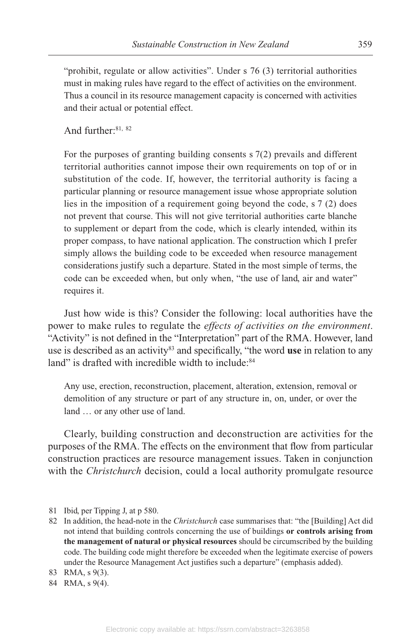"prohibit, regulate or allow activities". Under  $s$  76 (3) territorial authorities must in making rules have regard to the effect of activities on the environment. Thus a council in its resource management capacity is concerned with activities and their actual or potential effect.

And further:81, <sup>82</sup>

For the purposes of granting building consents  $\frac{s}{2}$  (2) prevails and different territorial authorities cannot impose their own requirements on top of or in substitution of the code. If, however, the territorial authority is facing a particular planning or resource management issue whose appropriate solution lies in the imposition of a requirement going beyond the code, s 7 (2) does not prevent that course. This will not give territorial authorities carte blanche to supplement or depart from the code, which is clearly intended, within its proper compass, to have national application. The construction which I prefer simply allows the building code to be exceeded when resource management considerations justify such a departure. Stated in the most simple of terms, the code can be exceeded when, but only when, "the use of land, air and water" requires it.

Just how wide is this? Consider the following: local authorities have the power to make rules to regulate the *effects of activities on the environment*. "Activity" is not defined in the "Interpretation" part of the RMA. However, land use is described as an activity83 and specifically, "the word **use** in relation to any land" is drafted with incredible width to include:<sup>84</sup>

Any use, erection, reconstruction, placement, alteration, extension, removal or demolition of any structure or part of any structure in, on, under, or over the land … or any other use of land.

Clearly, building construction and deconstruction are activities for the purposes of the RMA. The effects on the environment that flow from particular construction practices are resource management issues. Taken in conjunction with the *Christchurch* decision, could a local authority promulgate resource

- 81 Ibid, per Tipping J, at p 580.
- 82 In addition, the head-note in the *Christchurch* case summarises that: "the [Building] Act did not intend that building controls concerning the use of buildings **or controls arising from the management of natural or physical resources** should be circumscribed by the building code. The building code might therefore be exceeded when the legitimate exercise of powers under the Resource Management Act justifies such a departure" (emphasis added).
- 83 RMA, s 9(3).
- 84 RMA, s 9(4).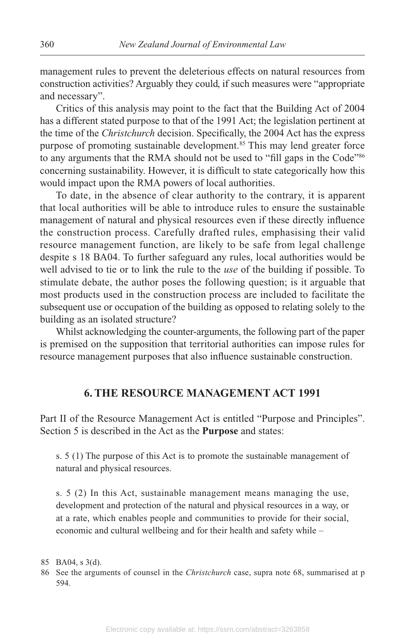management rules to prevent the deleterious effects on natural resources from construction activities? Arguably they could, if such measures were "appropriate and necessary".

Critics of this analysis may point to the fact that the Building Act of 2004 has a different stated purpose to that of the 1991 Act; the legislation pertinent at the time of the *Christchurch* decision. Specifically, the 2004 Act has the express purpose of promoting sustainable development.<sup>85</sup> This may lend greater force to any arguments that the RMA should not be used to "fill gaps in the Code"<sup>86</sup> concerning sustainability. However, it is difficult to state categorically how this would impact upon the RMA powers of local authorities.

To date, in the absence of clear authority to the contrary, it is apparent that local authorities will be able to introduce rules to ensure the sustainable management of natural and physical resources even if these directly influence the construction process. Carefully drafted rules, emphasising their valid resource management function, are likely to be safe from legal challenge despite s 18 BA04. To further safeguard any rules, local authorities would be well advised to tie or to link the rule to the *use* of the building if possible. To stimulate debate, the author poses the following question; is it arguable that most products used in the construction process are included to facilitate the subsequent use or occupation of the building as opposed to relating solely to the building as an isolated structure?

Whilst acknowledging the counter-arguments, the following part of the paper is premised on the supposition that territorial authorities can impose rules for resource management purposes that also influence sustainable construction.

### **6. THE RESOURCE MANAGEMENT ACT 1991**

Part II of the Resource Management Act is entitled "Purpose and Principles". Section 5 is described in the Act as the **Purpose** and states:

s. 5 (1) The purpose of this Act is to promote the sustainable management of natural and physical resources.

s. 5 (2) In this Act, sustainable management means managing the use, development and protection of the natural and physical resources in a way, or at a rate, which enables people and communities to provide for their social, economic and cultural wellbeing and for their health and safety while –

<sup>85</sup> BA04, s 3(d).

<sup>86</sup> See the arguments of counsel in the *Christchurch* case, supra note 68, summarised at p 594.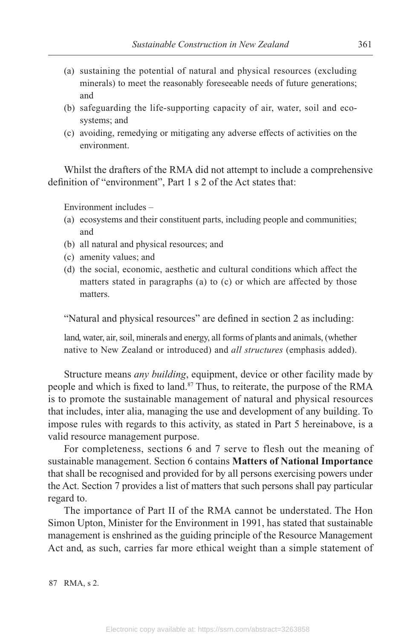- (a) sustaining the potential of natural and physical resources (excluding minerals) to meet the reasonably foreseeable needs of future generations; and
- (b) safeguarding the life-supporting capacity of air, water, soil and ecosystems; and
- (c) avoiding, remedying or mitigating any adverse effects of activities on the environment.

Whilst the drafters of the RMA did not attempt to include a comprehensive definition of "environment", Part 1 s 2 of the Act states that:

Environment includes –

- (a) ecosystems and their constituent parts, including people and communities; and
- (b) all natural and physical resources; and
- (c) amenity values; and
- (d) the social, economic, aesthetic and cultural conditions which affect the matters stated in paragraphs (a) to (c) or which are affected by those matters.

"Natural and physical resources" are defined in section 2 as including:

land, water, air, soil, minerals and energy, all forms of plants and animals, (whether native to New Zealand or introduced) and *all structures* (emphasis added).

Structure means *any building*, equipment, device or other facility made by people and which is fixed to land.<sup>87</sup> Thus, to reiterate, the purpose of the RMA is to promote the sustainable management of natural and physical resources that includes, inter alia, managing the use and development of any building. To impose rules with regards to this activity, as stated in Part 5 hereinabove, is a valid resource management purpose.

For completeness, sections 6 and 7 serve to flesh out the meaning of sustainable management. Section 6 contains **Matters of National Importance** that shall be recognised and provided for by all persons exercising powers under the Act. Section 7 provides a list of matters that such persons shall pay particular regard to.

The importance of Part II of the RMA cannot be understated. The Hon Simon Upton, Minister for the Environment in 1991, has stated that sustainable management is enshrined as the guiding principle of the Resource Management Act and, as such, carries far more ethical weight than a simple statement of

87 RMA, s 2.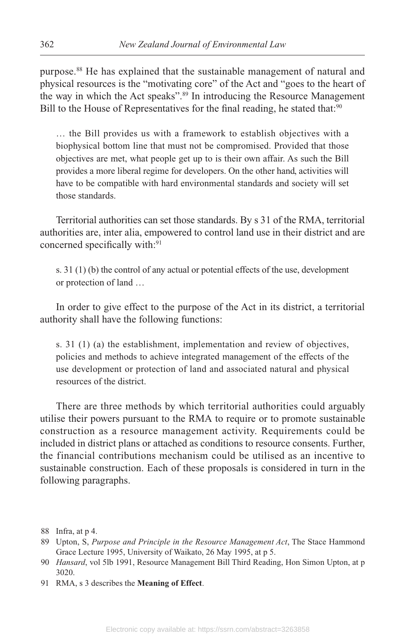purpose.<sup>88</sup> He has explained that the sustainable management of natural and physical resources is the "motivating core" of the Act and "goes to the heart of the way in which the Act speaks".89 In introducing the Resource Management Bill to the House of Representatives for the final reading, he stated that:<sup>90</sup>

… the Bill provides us with a framework to establish objectives with a biophysical bottom line that must not be compromised. Provided that those objectives are met, what people get up to is their own affair. As such the Bill provides a more liberal regime for developers. On the other hand, activities will have to be compatible with hard environmental standards and society will set those standards.

Territorial authorities can set those standards. By s 31 of the RMA, territorial authorities are, inter alia, empowered to control land use in their district and are concerned specifically with:<sup>91</sup>

s. 31 (1) (b) the control of any actual or potential effects of the use, development or protection of land …

In order to give effect to the purpose of the Act in its district, a territorial authority shall have the following functions:

s. 31 (1) (a) the establishment, implementation and review of objectives, policies and methods to achieve integrated management of the effects of the use development or protection of land and associated natural and physical resources of the district.

There are three methods by which territorial authorities could arguably utilise their powers pursuant to the RMA to require or to promote sustainable construction as a resource management activity. Requirements could be included in district plans or attached as conditions to resource consents. Further, the financial contributions mechanism could be utilised as an incentive to sustainable construction. Each of these proposals is considered in turn in the following paragraphs.

91 RMA, s 3 describes the **Meaning of Effect**.

<sup>88</sup> Infra, at p 4.

<sup>89</sup> Upton, S, *Purpose and Principle in the Resource Management Act*, The Stace Hammond Grace Lecture 1995, University of Waikato, 26 May 1995, at p 5.

<sup>90</sup> *Hansard*, vol 5lb 1991, Resource Management Bill Third Reading, Hon Simon Upton, at p 3020.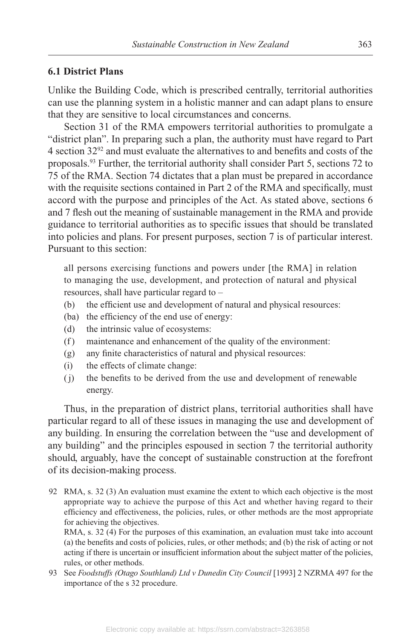#### **6.1 District Plans**

Unlike the Building Code, which is prescribed centrally, territorial authorities can use the planning system in a holistic manner and can adapt plans to ensure that they are sensitive to local circumstances and concerns.

Section 31 of the RMA empowers territorial authorities to promulgate a "district plan". In preparing such a plan, the authority must have regard to Part 4 section 3292 and must evaluate the alternatives to and benefits and costs of the proposals.<sup>93</sup> Further, the territorial authority shall consider Part 5, sections 72 to 75 of the RMA. Section 74 dictates that a plan must be prepared in accordance with the requisite sections contained in Part 2 of the RMA and specifically, must accord with the purpose and principles of the Act. As stated above, sections 6 and 7 flesh out the meaning of sustainable management in the RMA and provide guidance to territorial authorities as to specific issues that should be translated into policies and plans. For present purposes, section 7 is of particular interest. Pursuant to this section:

all persons exercising functions and powers under [the RMA] in relation to managing the use, development, and protection of natural and physical resources, shall have particular regard to –

- (b) the efficient use and development of natural and physical resources:
- (ba) the efficiency of the end use of energy:
- (d) the intrinsic value of ecosystems:
- (f ) maintenance and enhancement of the quality of the environment:
- (g) any finite characteristics of natural and physical resources:
- (i) the effects of climate change:
- ( j) the benefits to be derived from the use and development of renewable energy.

Thus, in the preparation of district plans, territorial authorities shall have particular regard to all of these issues in managing the use and development of any building. In ensuring the correlation between the "use and development of any building" and the principles espoused in section 7 the territorial authority should, arguably, have the concept of sustainable construction at the forefront of its decision-making process.

92 RMA, s. 32 (3) An evaluation must examine the extent to which each objective is the most appropriate way to achieve the purpose of this Act and whether having regard to their efficiency and effectiveness, the policies, rules, or other methods are the most appropriate for achieving the objectives.

RMA, s. 32 (4) For the purposes of this examination, an evaluation must take into account (a) the benefits and costs of policies, rules, or other methods; and (b) the risk of acting or not acting if there is uncertain or insufficient information about the subject matter of the policies, rules, or other methods.

93 See *Foodstuffs (Otago Southland) Ltd v Dunedin City Council* [1993] 2 NZRMA 497 for the importance of the s 32 procedure.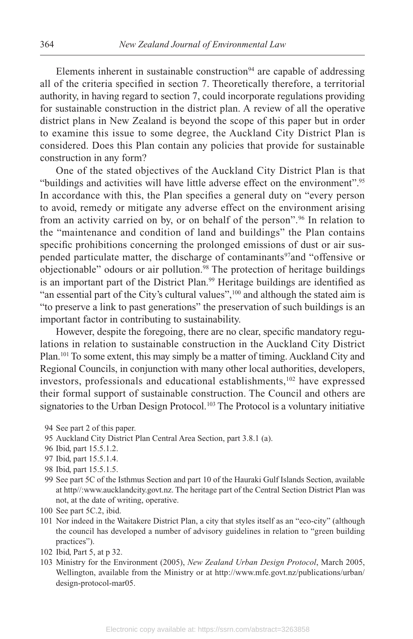Elements inherent in sustainable construction<sup>94</sup> are capable of addressing all of the criteria specified in section 7. Theoretically therefore, a territorial authority, in having regard to section 7, could incorporate regulations providing for sustainable construction in the district plan. A review of all the operative district plans in New Zealand is beyond the scope of this paper but in order to examine this issue to some degree, the Auckland City District Plan is considered. Does this Plan contain any policies that provide for sustainable construction in any form?

One of the stated objectives of the Auckland City District Plan is that "buildings and activities will have little adverse effect on the environment".95 In accordance with this, the Plan specifies a general duty on "every person to avoid, remedy or mitigate any adverse effect on the environment arising from an activity carried on by, or on behalf of the person".<sup>96</sup> In relation to the "maintenance and condition of land and buildings" the Plan contains specific prohibitions concerning the prolonged emissions of dust or air suspended particulate matter, the discharge of contaminants<sup>97</sup>and "offensive or objectionable" odours or air pollution.<sup>98</sup> The protection of heritage buildings is an important part of the District Plan.<sup>99</sup> Heritage buildings are identified as "an essential part of the City's cultural values",<sup>100</sup> and although the stated aim is "to preserve a link to past generations" the preservation of such buildings is an important factor in contributing to sustainability.

However, despite the foregoing, there are no clear, specific mandatory regulations in relation to sustainable construction in the Auckland City District Plan.<sup>101</sup> To some extent, this may simply be a matter of timing. Auckland City and Regional Councils, in conjunction with many other local authorities, developers, investors, professionals and educational establishments,<sup>102</sup> have expressed their formal support of sustainable construction. The Council and others are signatories to the Urban Design Protocol.<sup>103</sup> The Protocol is a voluntary initiative

- 94 See part 2 of this paper.
- 95 Auckland City District Plan Central Area Section, part 3.8.1 (a).
- 96 Ibid, part 15.5.1.2.
- 97 Ibid, part 15.5.1.4.
- 98 Ibid, part 15.5.1.5.
- 99 See part 5C of the Isthmus Section and part 10 of the Hauraki Gulf Islands Section, available at http//:www.aucklandcity.govt.nz. The heritage part of the Central Section District Plan was not, at the date of writing, operative.
- 100 See part 5C.2, ibid.
- 101 Nor indeed in the Waitakere District Plan, a city that styles itself as an "eco-city" (although the council has developed a number of advisory guidelines in relation to "green building practices").
- 102 Ibid, Part 5, at p 32.
- 103 Ministry for the Environment (2005), *New Zealand Urban Design Protocol*, March 2005, Wellington, available from the Ministry or at http://www.mfe.govt.nz/publications/urban/ design-protocol-mar05.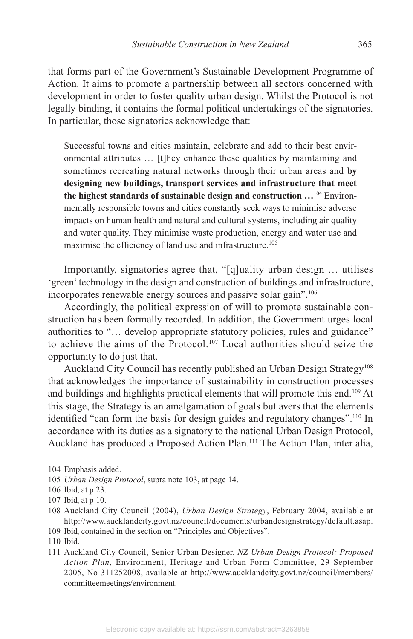that forms part of the Government's Sustainable Development Programme of Action. It aims to promote a partnership between all sectors concerned with development in order to foster quality urban design. Whilst the Protocol is not legally binding, it contains the formal political undertakings of the signatories. In particular, those signatories acknowledge that:

Successful towns and cities maintain, celebrate and add to their best environmental attributes … [t]hey enhance these qualities by maintaining and sometimes recreating natural networks through their urban areas and **by designing new buildings, transport services and infrastructure that meet the highest standards of sustainable design and construction …**<sup>104</sup> Environmentally responsible towns and cities constantly seek ways to minimise adverse impacts on human health and natural and cultural systems, including air quality and water quality. They minimise waste production, energy and water use and maximise the efficiency of land use and infrastructure.<sup>105</sup>

Importantly, signatories agree that, "[q]uality urban design … utilises 'green' technology in the design and construction of buildings and infrastructure, incorporates renewable energy sources and passive solar gain".106

Accordingly, the political expression of will to promote sustainable construction has been formally recorded. In addition, the Government urges local authorities to "… develop appropriate statutory policies, rules and guidance" to achieve the aims of the Protocol.<sup>107</sup> Local authorities should seize the opportunity to do just that.

Auckland City Council has recently published an Urban Design Strategy<sup>108</sup> that acknowledges the importance of sustainability in construction processes and buildings and highlights practical elements that will promote this end.<sup>109</sup> At this stage, the Strategy is an amalgamation of goals but avers that the elements identified "can form the basis for design guides and regulatory changes".<sup>110</sup> In accordance with its duties as a signatory to the national Urban Design Protocol, Auckland has produced a Proposed Action Plan.111 The Action Plan, inter alia,

- 105 *Urban Design Protocol*, supra note 103, at page 14.
- 106 Ibid, at p 23.
- 107 Ibid, at p 10.
- 108 Auckland City Council (2004), *Urban Design Strategy*, February 2004, available at http://www.aucklandcity.govt.nz/council/documents/urbandesignstrategy/default.asap.
- 109 Ibid, contained in the section on "Principles and Objectives".
- 110 Ibid.
- 111 Auckland City Council, Senior Urban Designer, *NZ Urban Design Protocol: Proposed Action Plan*, Environment, Heritage and Urban Form Committee, 29 September 2005, No 311252008, available at http://www.aucklandcity.govt.nz/council/members/ committeemeetings/environment.

 <sup>104</sup> Emphasis added.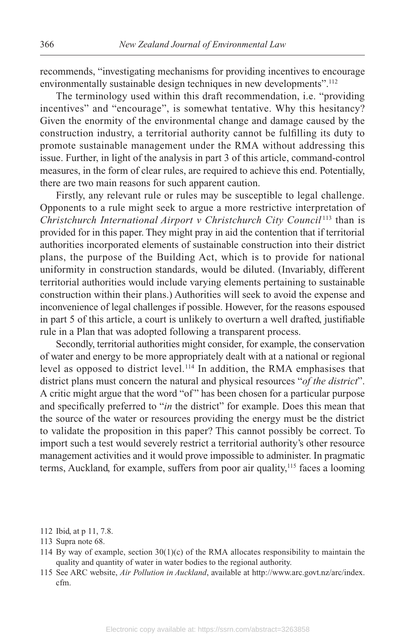recommends, "investigating mechanisms for providing incentives to encourage environmentally sustainable design techniques in new developments".<sup>112</sup>

The terminology used within this draft recommendation, i.e. "providing incentives" and "encourage", is somewhat tentative. Why this hesitancy? Given the enormity of the environmental change and damage caused by the construction industry, a territorial authority cannot be fulfilling its duty to promote sustainable management under the RMA without addressing this issue. Further, in light of the analysis in part 3 of this article, command-control measures, in the form of clear rules, are required to achieve this end. Potentially, there are two main reasons for such apparent caution.

Firstly, any relevant rule or rules may be susceptible to legal challenge. Opponents to a rule might seek to argue a more restrictive interpretation of *Christchurch International Airport v Christchurch City Council* <sup>113</sup> than is provided for in this paper. They might pray in aid the contention that if territorial authorities incorporated elements of sustainable construction into their district plans, the purpose of the Building Act, which is to provide for national uniformity in construction standards, would be diluted. (Invariably, different territorial authorities would include varying elements pertaining to sustainable construction within their plans.) Authorities will seek to avoid the expense and inconvenience of legal challenges if possible. However, for the reasons espoused in part 5 of this article, a court is unlikely to overturn a well drafted, justifiable rule in a Plan that was adopted following a transparent process.

Secondly, territorial authorities might consider, for example, the conservation of water and energy to be more appropriately dealt with at a national or regional level as opposed to district level.114 In addition, the RMA emphasises that district plans must concern the natural and physical resources "*of the district*". A critic might argue that the word "of" has been chosen for a particular purpose and specifically preferred to "*in* the district" for example. Does this mean that the source of the water or resources providing the energy must be the district to validate the proposition in this paper? This cannot possibly be correct. To import such a test would severely restrict a territorial authority's other resource management activities and it would prove impossible to administer. In pragmatic terms, Auckland, for example, suffers from poor air quality,<sup>115</sup> faces a looming

- 112 Ibid, at p 11, 7.8.
- 113 Supra note 68.
- 114 By way of example, section  $30(1)(c)$  of the RMA allocates responsibility to maintain the quality and quantity of water in water bodies to the regional authority.
- 115 See ARC website, *Air Pollution in Auckland*, available at http://www.arc.govt.nz/arc/index. cfm.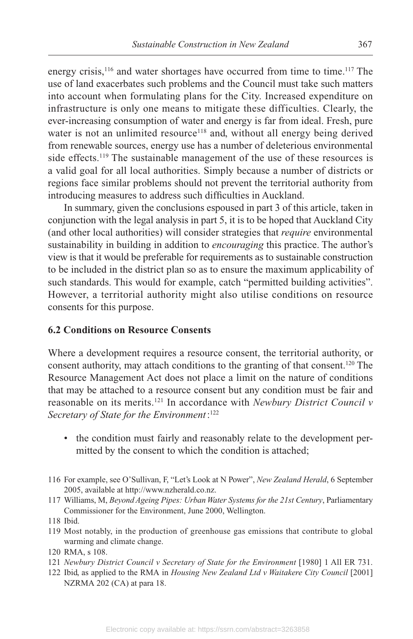energy crisis,<sup>116</sup> and water shortages have occurred from time to time.<sup>117</sup> The use of land exacerbates such problems and the Council must take such matters into account when formulating plans for the City. Increased expenditure on infrastructure is only one means to mitigate these difficulties. Clearly, the ever-increasing consumption of water and energy is far from ideal. Fresh, pure water is not an unlimited resource<sup>118</sup> and, without all energy being derived from renewable sources, energy use has a number of deleterious environmental side effects.<sup>119</sup> The sustainable management of the use of these resources is a valid goal for all local authorities. Simply because a number of districts or regions face similar problems should not prevent the territorial authority from introducing measures to address such difficulties in Auckland.

In summary, given the conclusions espoused in part 3 of this article, taken in conjunction with the legal analysis in part 5, it is to be hoped that Auckland City (and other local authorities) will consider strategies that *require* environmental sustainability in building in addition to *encouraging* this practice. The author's view is that it would be preferable for requirements as to sustainable construction to be included in the district plan so as to ensure the maximum applicability of such standards. This would for example, catch "permitted building activities". However, a territorial authority might also utilise conditions on resource consents for this purpose.

### **6.2 Conditions on Resource Consents**

Where a development requires a resource consent, the territorial authority, or consent authority, may attach conditions to the granting of that consent.120 The Resource Management Act does not place a limit on the nature of conditions that may be attached to a resource consent but any condition must be fair and reasonable on its merits.121 In accordance with *Newbury District Council v Secretary of State for the Environment*: 122

- the condition must fairly and reasonably relate to the development permitted by the consent to which the condition is attached;
- 116 For example, see O'Sullivan, F, "Let's Look at N Power", *New Zealand Herald*, 6 September 2005, available at http://www.nzherald.co.nz.
- 117 Williams, M, *Beyond Ageing Pipes: Urban Water Systems for the 21st Century*, Parliamentary Commissioner for the Environment, June 2000, Wellington.

 119 Most notably, in the production of greenhouse gas emissions that contribute to global warming and climate change.

- 121 *Newbury District Council v Secretary of State for the Environment* [1980] 1 All ER 7 31.
- 122 Ibid, as applied to the RMA in *Housing New Zealand Ltd v Waitakere City Council* [2001] NZRMA 202 (CA) at para 18.

 <sup>118</sup> Ibid.

 <sup>120</sup> RMA, s 108.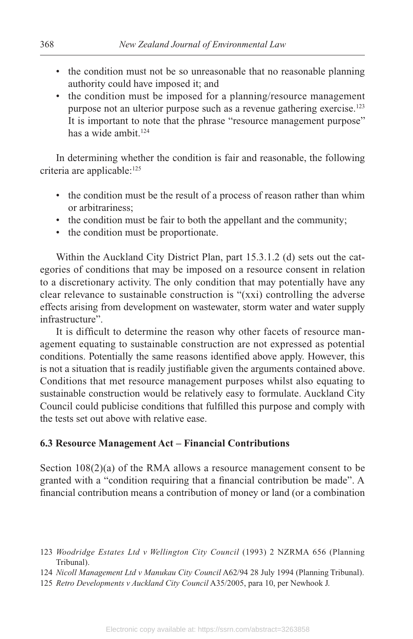- the condition must not be so unreasonable that no reasonable planning authority could have imposed it; and
- the condition must be imposed for a planning/resource management purpose not an ulterior purpose such as a revenue gathering exercise.<sup>123</sup> It is important to note that the phrase "resource management purpose" has a wide ambit  $124$

In determining whether the condition is fair and reasonable, the following criteria are applicable:<sup>125</sup>

- the condition must be the result of a process of reason rather than whim or arbitrariness;
- the condition must be fair to both the appellant and the community;
- the condition must be proportionate.

Within the Auckland City District Plan, part 15.3.1.2 (d) sets out the categories of conditions that may be imposed on a resource consent in relation to a discretionary activity. The only condition that may potentially have any clear relevance to sustainable construction is "(xxi) controlling the adverse effects arising from development on wastewater, storm water and water supply infrastructure".

It is difficult to determine the reason why other facets of resource management equating to sustainable construction are not expressed as potential conditions. Potentially the same reasons identified above apply. However, this is not a situation that is readily justifiable given the arguments contained above. Conditions that met resource management purposes whilst also equating to sustainable construction would be relatively easy to formulate. Auckland City Council could publicise conditions that fulfilled this purpose and comply with the tests set out above with relative ease.

### **6.3 Resource Management Act – Financial Contributions**

Section 108(2)(a) of the RMA allows a resource management consent to be granted with a "condition requiring that a financial contribution be made". A financial contribution means a contribution of money or land (or a combination

 <sup>123</sup> *Woodridge Estates Ltd v Wellington City Council* (1993) 2 NZRMA 656 (Planning Tribunal).

 <sup>124</sup> *Nicoll Management Ltd v Manukau City Council* A62/94 28 July 1994 (Planning Tribunal).

 <sup>125</sup> *Retro Developments v Auckland City Council* A35/2005, para 10, per Newhook J.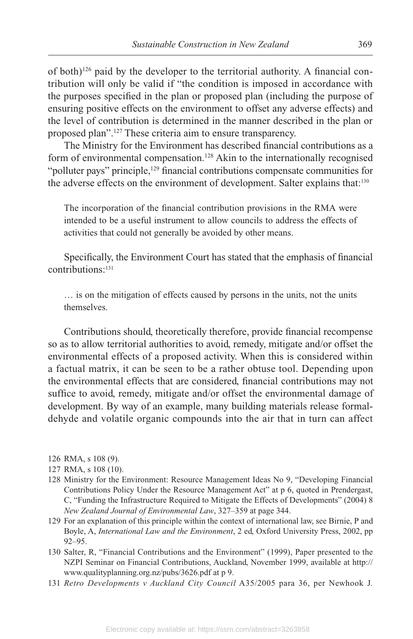of both)126 paid by the developer to the territorial authority. A financial contribution will only be valid if "the condition is imposed in accordance with the purposes specified in the plan or proposed plan (including the purpose of ensuring positive effects on the environment to offset any adverse effects) and the level of contribution is determined in the manner described in the plan or proposed plan".127 These criteria aim to ensure transparency.

The Ministry for the Environment has described financial contributions as a form of environmental compensation.128 Akin to the internationally recognised "polluter pays" principle,<sup>129</sup> financial contributions compensate communities for the adverse effects on the environment of development. Salter explains that:<sup>130</sup>

The incorporation of the financial contribution provisions in the RMA were intended to be a useful instrument to allow councils to address the effects of activities that could not generally be avoided by other means.

Specifically, the Environment Court has stated that the emphasis of financial contributions:131

… is on the mitigation of effects caused by persons in the units, not the units themselves.

Contributions should, theoretically therefore, provide financial recompense so as to allow territorial authorities to avoid, remedy, mitigate and/or offset the environmental effects of a proposed activity. When this is considered within a factual matrix, it can be seen to be a rather obtuse tool. Depending upon the environmental effects that are considered, financial contributions may not suffice to avoid, remedy, mitigate and/or offset the environmental damage of development. By way of an example, many building materials release formaldehyde and volatile organic compounds into the air that in turn can affect

- 126 RMA, s 108 (9).
- 127 RMA, s 108 (10).
- 128 Ministry for the Environment: Resource Management Ideas No 9, "Developing Financial Contributions Policy Under the Resource Management Act" at p 6, quoted in Prendergast, C, "Funding the Infrastructure Required to Mitigate the Effects of Developments" (2004) 8 *New Zealand Journal of Environmental Law*, 327 –359 at page 344.
- 129 For an explanation of this principle within the context of international law, see Birnie, P and Boyle, A, *International Law and the Environment*, 2 ed, Oxford University Press, 2002, pp 92–95.
- 130 Salter, R, "Financial Contributions and the Environment" (1999), Paper presented to the NZPI Seminar on Financial Contributions, Auckland, November 1999, available at http:// www.qualityplanning.org.nz/pubs/3626.pdf at p 9.
- 131 *Retro Developments v Auckland City Council* A35/2005 para 36, per Newhook J.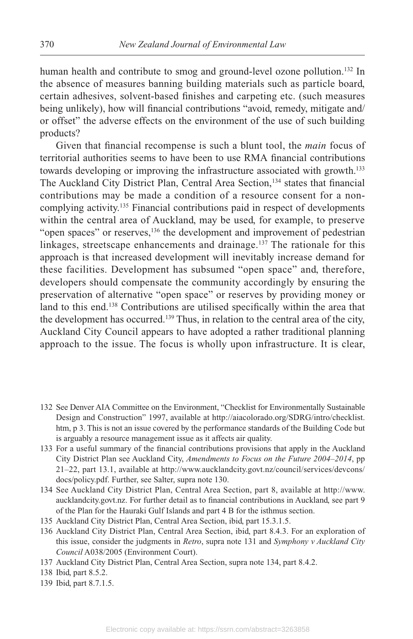human health and contribute to smog and ground-level ozone pollution.<sup>132</sup> In the absence of measures banning building materials such as particle board, certain adhesives, solvent-based finishes and carpeting etc. (such measures being unlikely), how will financial contributions "avoid, remedy, mitigate and/ or offset" the adverse effects on the environment of the use of such building products?

Given that financial recompense is such a blunt tool, the *main* focus of territorial authorities seems to have been to use RMA financial contributions towards developing or improving the infrastructure associated with growth.<sup>133</sup> The Auckland City District Plan, Central Area Section,<sup>134</sup> states that financial contributions may be made a condition of a resource consent for a noncomplying activity.135 Financial contributions paid in respect of developments within the central area of Auckland, may be used, for example, to preserve "open spaces" or reserves,<sup>136</sup> the development and improvement of pedestrian linkages, streetscape enhancements and drainage.<sup>137</sup> The rationale for this approach is that increased development will inevitably increase demand for these facilities. Development has subsumed "open space" and, therefore, developers should compensate the community accordingly by ensuring the preservation of alternative "open space" or reserves by providing money or land to this end.<sup>138</sup> Contributions are utilised specifically within the area that the development has occurred.139 Thus, in relation to the central area of the city, Auckland City Council appears to have adopted a rather traditional planning approach to the issue. The focus is wholly upon infrastructure. It is clear,

- 132 See Denver AIA Committee on the Environment, "Checklist for Environmentally Sustainable Design and Construction" 1997, available at http://aiacolorado.org/SDRG/intro/checklist. htm, p 3. This is not an issue covered by the performance standards of the Building Code but is arguably a resource management issue as it affects air quality.
- 133 For a useful summary of the financial contributions provisions that apply in the Auckland City District Plan see Auckland City, *Amendments to Focus on the Future 2004–2014*, pp 21–22, part 13.1, available at http://www.aucklandcity.govt.nz/council/services/devcons/ docs/policy.pdf. Further, see Salter, supra note 130.
- 134 See Auckland City District Plan, Central Area Section, part 8, available at http://www. aucklandcity.govt.nz. For further detail as to financial contributions in Auckland, see part 9 of the Plan for the Hauraki Gulf Islands and part 4 B for the isthmus section.
- 135 Auckland City District Plan, Central Area Section, ibid, part 15.3.1.5.
- 136 Auckland City District Plan, Central Area Section, ibid, part 8.4.3. For an exploration of this issue, consider the judgments in *Retro*, supra note 131 and *Symphony v Auckland City Council* A038/2005 (Environment Court).
- 137 Auckland City District Plan, Central Area Section, supra note 134, part 8.4.2.
- 138 Ibid, part 8.5.2.
- 139 Ibid, part 8.7 .1.5.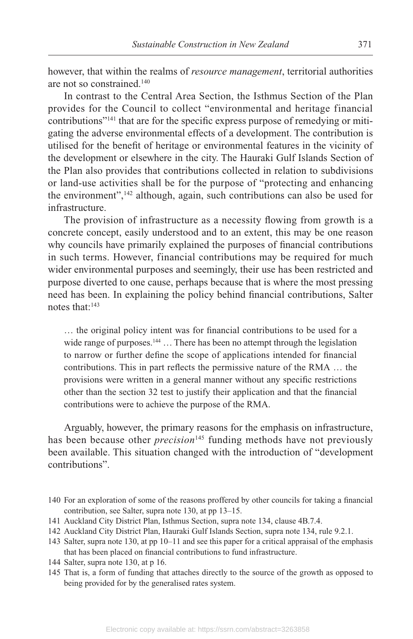however, that within the realms of *resource management*, territorial authorities are not so constrained.140

In contrast to the Central Area Section, the Isthmus Section of the Plan provides for the Council to collect "environmental and heritage financial contributions"141 that are for the specific express purpose of remedying or mitigating the adverse environmental effects of a development. The contribution is utilised for the benefit of heritage or environmental features in the vicinity of the development or elsewhere in the city. The Hauraki Gulf Islands Section of the Plan also provides that contributions collected in relation to subdivisions or land-use activities shall be for the purpose of "protecting and enhancing the environment",<sup>142</sup> although, again, such contributions can also be used for infrastructure.

The provision of infrastructure as a necessity flowing from growth is a concrete concept, easily understood and to an extent, this may be one reason why councils have primarily explained the purposes of financial contributions in such terms. However, financial contributions may be required for much wider environmental purposes and seemingly, their use has been restricted and purpose diverted to one cause, perhaps because that is where the most pressing need has been. In explaining the policy behind financial contributions, Salter notes that:143

… the original policy intent was for financial contributions to be used for a wide range of purposes.<sup>144</sup> ... There has been no attempt through the legislation to narrow or further define the scope of applications intended for financial contributions. This in part reflects the permissive nature of the RMA … the provisions were written in a general manner without any specific restrictions other than the section 32 test to justify their application and that the financial contributions were to achieve the purpose of the RMA.

Arguably, however, the primary reasons for the emphasis on infrastructure, has been because other *precision*<sup>145</sup> funding methods have not previously been available. This situation changed with the introduction of "development contributions".

 <sup>140</sup> For an exploration of some of the reasons proffered by other councils for taking a financial contribution, see Salter, supra note 130, at pp 13–15.

 <sup>141</sup> Auckland City District Plan, Isthmus Section, supra note 134, clause 4B.7 .4.

 <sup>142</sup> Auckland City District Plan, Hauraki Gulf Islands Section, supra note 134, rule 9.2.1.

 <sup>143</sup> Salter, supra note 130, at pp 10–11 and see this paper for a critical appraisal of the emphasis that has been placed on financial contributions to fund infrastructure.

 <sup>144</sup> Salter, supra note 130, at p 16.

 <sup>145</sup> That is, a form of funding that attaches directly to the source of the growth as opposed to being provided for by the generalised rates system.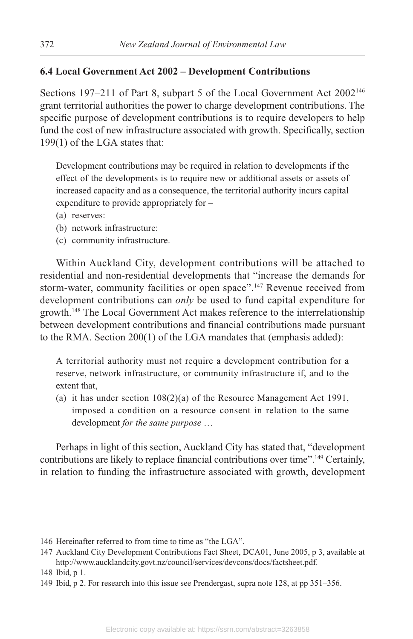#### **6.4 Local Government Act 2002 – Development Contributions**

Sections 197-211 of Part 8, subpart 5 of the Local Government Act 2002<sup>146</sup> grant territorial authorities the power to charge development contributions. The specific purpose of development contributions is to require developers to help fund the cost of new infrastructure associated with growth. Specifically, section 199(1) of the LGA states that:

Development contributions may be required in relation to developments if the effect of the developments is to require new or additional assets or assets of increased capacity and as a consequence, the territorial authority incurs capital expenditure to provide appropriately for –

- (a) reserves:
- (b) network infrastructure:
- (c) community infrastructure.

Within Auckland City, development contributions will be attached to residential and non-residential developments that "increase the demands for storm-water, community facilities or open space".<sup>147</sup> Revenue received from development contributions can *only* be used to fund capital expenditure for growth.148 The Local Government Act makes reference to the interrelationship between development contributions and financial contributions made pursuant to the RMA. Section 200(1) of the LGA mandates that (emphasis added):

A territorial authority must not require a development contribution for a reserve, network infrastructure, or community infrastructure if, and to the extent that,

(a) it has under section 108(2)(a) of the Resource Management Act 1991, imposed a condition on a resource consent in relation to the same development *for the same purpose* …

Perhaps in light of this section, Auckland City has stated that, "development contributions are likely to replace financial contributions over time".<sup>149</sup> Certainly, in relation to funding the infrastructure associated with growth, development

- 146 Hereinafter referred to from time to time as "the LGA".
- 147 Auckland City Development Contributions Fact Sheet, DCA01, June 2005, p 3, available at http://www.aucklandcity.govt.nz/council/services/devcons/docs/factsheet.pdf.

149 Ibid, p 2. For research into this issue see Prendergast, supra note 128, at pp 351–356.

 <sup>148</sup> Ibid, p 1.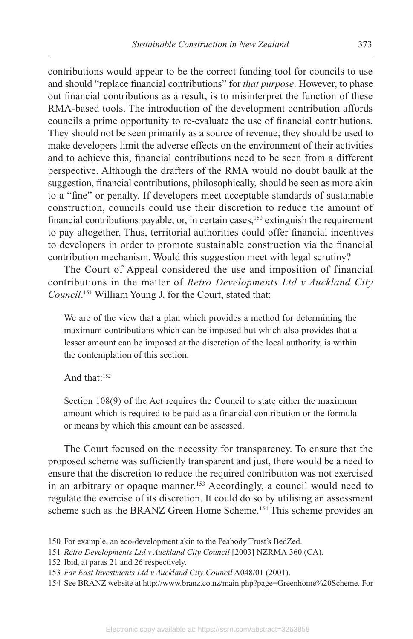contributions would appear to be the correct funding tool for councils to use and should "replace financial contributions" for *that purpose*. However, to phase out financial contributions as a result, is to misinterpret the function of these RMA-based tools. The introduction of the development contribution affords councils a prime opportunity to re-evaluate the use of financial contributions. They should not be seen primarily as a source of revenue; they should be used to make developers limit the adverse effects on the environment of their activities and to achieve this, financial contributions need to be seen from a different perspective. Although the drafters of the RMA would no doubt baulk at the suggestion, financial contributions, philosophically, should be seen as more akin to a "fine" or penalty. If developers meet acceptable standards of sustainable construction, councils could use their discretion to reduce the amount of financial contributions payable, or, in certain cases,<sup>150</sup> extinguish the requirement to pay altogether. Thus, territorial authorities could offer financial incentives to developers in order to promote sustainable construction via the financial contribution mechanism. Would this suggestion meet with legal scrutiny?

The Court of Appeal considered the use and imposition of financial contributions in the matter of *Retro Developments Ltd v Auckland City Council*. 151 William Young J, for the Court, stated that:

We are of the view that a plan which provides a method for determining the maximum contributions which can be imposed but which also provides that a lesser amount can be imposed at the discretion of the local authority, is within the contemplation of this section.

And that:152

Section 108(9) of the Act requires the Council to state either the maximum amount which is required to be paid as a financial contribution or the formula or means by which this amount can be assessed.

The Court focused on the necessity for transparency. To ensure that the proposed scheme was sufficiently transparent and just, there would be a need to ensure that the discretion to reduce the required contribution was not exercised in an arbitrary or opaque manner.<sup>153</sup> Accordingly, a council would need to regulate the exercise of its discretion. It could do so by utilising an assessment scheme such as the BRANZ Green Home Scheme.<sup>154</sup> This scheme provides an

 <sup>150</sup> For example, an eco-development akin to the Peabody Trust's BedZed.

 <sup>151</sup> *Retro Developments Ltd v Auckland City Council* [2003] NZRMA 360 (CA).

 <sup>152</sup> Ibid, at paras 21 and 26 respectively.

 <sup>153</sup> *Far East Investments Ltd v Auckland City Council* A048/01 (2001).

 <sup>154</sup> See BRANZ website at http://www.branz.co.nz/main.php?page=Greenhome%20Scheme. For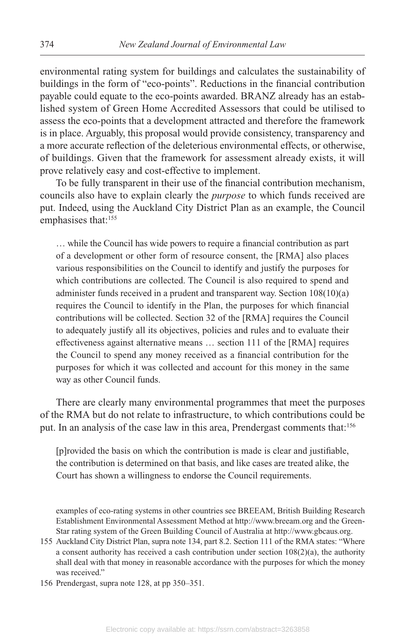environmental rating system for buildings and calculates the sustainability of buildings in the form of "eco-points". Reductions in the financial contribution payable could equate to the eco-points awarded. BRANZ already has an established system of Green Home Accredited Assessors that could be utilised to assess the eco-points that a development attracted and therefore the framework is in place. Arguably, this proposal would provide consistency, transparency and a more accurate reflection of the deleterious environmental effects, or otherwise, of buildings. Given that the framework for assessment already exists, it will prove relatively easy and cost-effective to implement.

To be fully transparent in their use of the financial contribution mechanism, councils also have to explain clearly the *purpose* to which funds received are put. Indeed, using the Auckland City District Plan as an example, the Council emphasises that:<sup>155</sup>

… while the Council has wide powers to require a financial contribution as part of a development or other form of resource consent, the [RMA] also places various responsibilities on the Council to identify and justify the purposes for which contributions are collected. The Council is also required to spend and administer funds received in a prudent and transparent way. Section 108(10)(a) requires the Council to identify in the Plan, the purposes for which financial contributions will be collected. Section 32 of the [RMA] requires the Council to adequately justify all its objectives, policies and rules and to evaluate their effectiveness against alternative means … section 111 of the [RMA] requires the Council to spend any money received as a financial contribution for the purposes for which it was collected and account for this money in the same way as other Council funds.

There are clearly many environmental programmes that meet the purposes of the RMA but do not relate to infrastructure, to which contributions could be put. In an analysis of the case law in this area, Prendergast comments that:<sup>156</sup>

[p]rovided the basis on which the contribution is made is clear and justifiable, the contribution is determined on that basis, and like cases are treated alike, the Court has shown a willingness to endorse the Council requirements.

examples of eco-rating systems in other countries see BREEAM, British Building Research Establishment Environmental Assessment Method at http://www.breeam.org and the Green-Star rating system of the Green Building Council of Australia at http://www.gbcaus.org.

- 155 Auckland City District Plan, supra note 134, part 8.2. Section 111 of the RMA states: "Where a consent authority has received a cash contribution under section  $108(2)(a)$ , the authority shall deal with that money in reasonable accordance with the purposes for which the money was received."
- 156 Prendergast, supra note 128, at pp 350–351.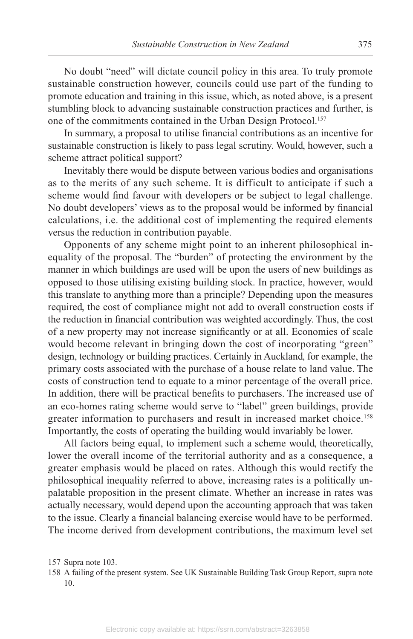No doubt "need" will dictate council policy in this area. To truly promote sustainable construction however, councils could use part of the funding to promote education and training in this issue, which, as noted above, is a present stumbling block to advancing sustainable construction practices and further, is one of the commitments contained in the Urban Design Protocol.<sup>157</sup>

In summary, a proposal to utilise financial contributions as an incentive for sustainable construction is likely to pass legal scrutiny. Would, however, such a scheme attract political support?

Inevitably there would be dispute between various bodies and organisations as to the merits of any such scheme. It is difficult to anticipate if such a scheme would find favour with developers or be subject to legal challenge. No doubt developers' views as to the proposal would be informed by financial calculations, i.e. the additional cost of implementing the required elements versus the reduction in contribution payable.

Opponents of any scheme might point to an inherent philosophical inequality of the proposal. The "burden" of protecting the environment by the manner in which buildings are used will be upon the users of new buildings as opposed to those utilising existing building stock. In practice, however, would this translate to anything more than a principle? Depending upon the measures required, the cost of compliance might not add to overall construction costs if the reduction in financial contribution was weighted accordingly. Thus, the cost of a new property may not increase significantly or at all. Economies of scale would become relevant in bringing down the cost of incorporating "green" design, technology or building practices. Certainly in Auckland, for example, the primary costs associated with the purchase of a house relate to land value. The costs of construction tend to equate to a minor percentage of the overall price. In addition, there will be practical benefits to purchasers. The increased use of an eco-homes rating scheme would serve to "label" green buildings, provide greater information to purchasers and result in increased market choice.<sup>158</sup> Importantly, the costs of operating the building would invariably be lower.

All factors being equal, to implement such a scheme would, theoretically, lower the overall income of the territorial authority and as a consequence, a greater emphasis would be placed on rates. Although this would rectify the philosophical inequality referred to above, increasing rates is a politically unpalatable proposition in the present climate. Whether an increase in rates was actually necessary, would depend upon the accounting approach that was taken to the issue. Clearly a financial balancing exercise would have to be performed. The income derived from development contributions, the maximum level set

 <sup>157</sup> Supra note 103.

 <sup>158</sup> A failing of the present system. See UK Sustainable Building Task Group Report, supra note 10.